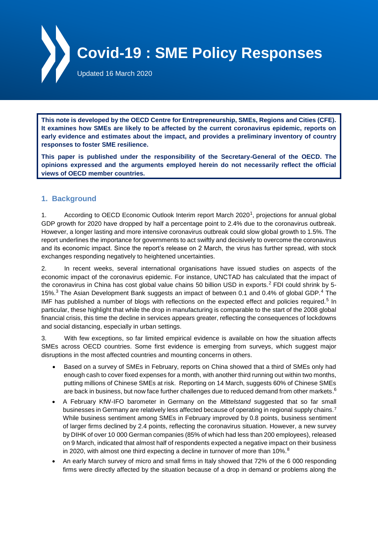

**This note is developed by the OECD Centre for Entrepreneurship, SMEs, Regions and Cities (CFE). It examines how SMEs are likely to be affected by the current coronavirus epidemic, reports on early evidence and estimates about the impact, and provides a preliminary inventory of country responses to foster SME resilience.**

**This paper is published under the responsibility of the Secretary-General of the OECD. The opinions expressed and the arguments employed herein do not necessarily reflect the official views of OECD member countries.**

# **1. Background**

1. According to OECD Economic Outlook Interim report March 2020<sup>1</sup>, projections for annual global GDP growth for 2020 have dropped by half a percentage point to 2.4% due to the coronavirus outbreak. However, a longer lasting and more intensive coronavirus outbreak could slow global growth to 1.5%. The report underlines the importance for governments to act swiftly and decisively to overcome the coronavirus and its economic impact. Since the report's release on 2 March, the virus has further spread, with stock exchanges responding negatively to heightened uncertainties.

2. In recent weeks, several international organisations have issued studies on aspects of the economic impact of the coronavirus epidemic. For instance, UNCTAD has calculated that the impact of the coronavirus in China has cost global value chains 50 billion USD in exports.<sup>2</sup> FDI could shrink by 5-15%.<sup>3</sup> The Asian Development Bank suggests an impact of between 0.1 and 0.4% of global GDP.<sup>4</sup> The IMF has published a number of blogs with reflections on the expected effect and policies required.<sup>5</sup> In particular, these highlight that while the drop in manufacturing is comparable to the start of the 2008 global financial crisis, this time the decline in services appears greater, reflecting the consequences of lockdowns and social distancing, especially in urban settings.

3. With few exceptions, so far limited empirical evidence is available on how the situation affects SMEs across OECD countries. Some first evidence is emerging from surveys, which suggest major disruptions in the most affected countries and mounting concerns in others.

- Based on a survey of SMEs in February, reports on China showed that a third of SMEs only had enough cash to cover fixed expenses for a month, with another third running out within two months, putting millions of Chinese SMEs at risk. Reporting on 14 March, suggests 60% of Chinese SMEs are back in business, but now face further challenges due to reduced demand from other markets.<sup>6</sup>
- A February KfW-IFO barometer in Germany on the *Mittelstand* suggested that so far small businesses in Germany are relatively less affected because of operating in regional supply chains.<sup>7</sup> While business sentiment among SMEs in February improved by 0.8 points, business sentiment of larger firms declined by 2.4 points, reflecting the coronavirus situation. However, a new survey by DIHK of over 10 000 German companies (85% of which had less than 200 employees), released on 9 March, indicated that almost half of respondents expected a negative impact on their business in 2020, with almost one third expecting a decline in turnover of more than  $10\%$ .<sup>8</sup>
- An early March survey of micro and small firms in Italy showed that 72% of the 6 000 responding firms were directly affected by the situation because of a drop in demand or problems along the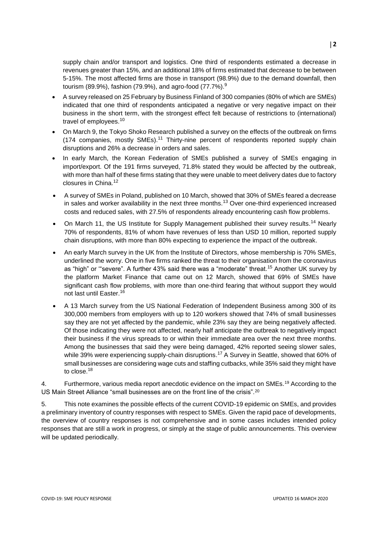supply chain and/or transport and logistics. One third of respondents estimated a decrease in revenues greater than 15%, and an additional 18% of firms estimated that decrease to be between 5-15%. The most affected firms are those in transport (98.9%) due to the demand downfall, then tourism (89.9%), fashion (79.9%), and agro-food (77.7%).<sup>9</sup>

- A survey released on 25 February by Business Finland of 300 companies (80% of which are SMEs) indicated that one third of respondents anticipated a negative or very negative impact on their business in the short term, with the strongest effect felt because of restrictions to (international) travel of employees.<sup>10</sup>
- On March 9, the Tokyo Shoko Research published a survey on the effects of the outbreak on firms (174 companies, mostly SMEs).<sup>11</sup> Thirty-nine percent of respondents reported supply chain disruptions and 26% a decrease in orders and sales.
- In early March, the Korean Federation of SMEs published a survey of SMEs engaging in import/export. Of the 191 firms surveyed, 71.8% stated they would be affected by the outbreak, with more than half of these firms stating that they were unable to meet delivery dates due to factory closures in China.<sup>12</sup>
- A survey of SMEs in Poland, published on 10 March, showed that 30% of SMEs feared a decrease in sales and worker availability in the next three months.<sup>13</sup> Over one-third experienced increased costs and reduced sales, with 27.5% of respondents already encountering cash flow problems.
- On March 11, the US Institute for Supply Management published their survey results.<sup>14</sup> Nearly 70% of respondents, 81% of whom have revenues of less than USD 10 million, reported supply chain disruptions, with more than 80% expecting to experience the impact of the outbreak.
- An early March survey in the UK from the Institute of Directors, whose membership is 70% SMEs, underlined the worry. One in five firms ranked the threat to their organisation from the coronavirus as "high" or "severe". A further 43% said there was a "moderate" threat.<sup>15</sup> Another UK survey by the platform Market Finance that came out on 12 March, showed that 69% of SMEs have significant cash flow problems, with more than one-third fearing that without support they would not last until Easter.<sup>16</sup>
- A 13 March survey from the US National Federation of Independent Business among 300 of its 300,000 members from employers with up to 120 workers showed that 74% of small businesses say they are not yet affected by the pandemic, while 23% say they are being negatively affected. Of those indicating they were not affected, nearly half anticipate the outbreak to negatively impact their business if the virus spreads to or within their immediate area over the next three months. Among the businesses that said they were being damaged, 42% reported seeing slower sales, while 39% were experiencing supply-chain disruptions.<sup>17</sup> A Survey in Seattle, showed that 60% of small businesses are considering wage cuts and staffing cutbacks, while 35% said they might have to close.<sup>18</sup>

4. Furthermore, various media report anecdotic evidence on the impact on SMEs.<sup>19</sup> According to the US Main Street Alliance "small businesses are on the front line of the crisis".<sup>20</sup>

5. This note examines the possible effects of the current COVID-19 epidemic on SMEs, and provides a preliminary inventory of country responses with respect to SMEs. Given the rapid pace of developments, the overview of country responses is not comprehensive and in some cases includes intended policy responses that are still a work in progress, or simply at the stage of public announcements. This overview will be updated periodically.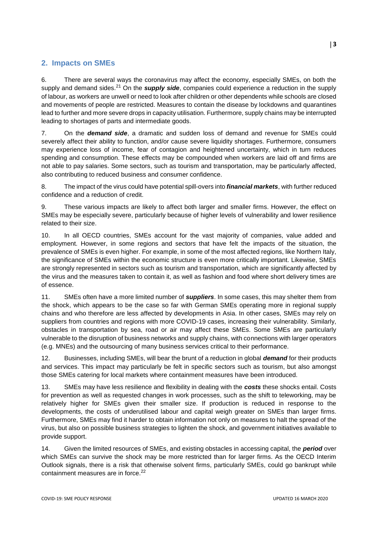# **2. Impacts on SMEs**

6. There are several ways the coronavirus may affect the economy, especially SMEs, on both the supply and demand sides.<sup>21</sup> On the **supply side**, companies could experience a reduction in the supply of labour, as workers are unwell or need to look after children or other dependents while schools are closed and movements of people are restricted. Measures to contain the disease by lockdowns and quarantines lead to further and more severe drops in capacity utilisation. Furthermore, supply chains may be interrupted leading to shortages of parts and intermediate goods.

7. On the *demand side*, a dramatic and sudden loss of demand and revenue for SMEs could severely affect their ability to function, and/or cause severe liquidity shortages. Furthermore, consumers may experience loss of income, fear of contagion and heightened uncertainty, which in turn reduces spending and consumption. These effects may be compounded when workers are laid off and firms are not able to pay salaries. Some sectors, such as tourism and transportation, may be particularly affected, also contributing to reduced business and consumer confidence.

8. The impact of the virus could have potential spill-overs into *financial markets*, with further reduced confidence and a reduction of credit.

9. These various impacts are likely to affect both larger and smaller firms. However, the effect on SMEs may be especially severe, particularly because of higher levels of vulnerability and lower resilience related to their size.

10. In all OECD countries, SMEs account for the vast majority of companies, value added and employment. However, in some regions and sectors that have felt the impacts of the situation, the prevalence of SMEs is even higher. For example, in some of the most affected regions, like Northern Italy, the significance of SMEs within the economic structure is even more critically important. Likewise, SMEs are strongly represented in sectors such as tourism and transportation, which are significantly affected by the virus and the measures taken to contain it, as well as fashion and food where short delivery times are of essence.

11. SMEs often have a more limited number of *suppliers*. In some cases, this may shelter them from the shock, which appears to be the case so far with German SMEs operating more in regional supply chains and who therefore are less affected by developments in Asia. In other cases, SMEs may rely on suppliers from countries and regions with more COVID-19 cases, increasing their vulnerability. Similarly, obstacles in transportation by sea, road or air may affect these SMEs. Some SMEs are particularly vulnerable to the disruption of business networks and supply chains, with connections with larger operators (e.g. MNEs) and the outsourcing of many business services critical to their performance.

12. Businesses, including SMEs, will bear the brunt of a reduction in global *demand* for their products and services. This impact may particularly be felt in specific sectors such as tourism, but also amongst those SMEs catering for local markets where containment measures have been introduced.

13. SMEs may have less resilience and flexibility in dealing with the *costs* these shocks entail. Costs for prevention as well as requested changes in work processes, such as the shift to teleworking, may be relatively higher for SMEs given their smaller size. If production is reduced in response to the developments, the costs of underutilised labour and capital weigh greater on SMEs than larger firms. Furthermore, SMEs may find it harder to obtain information not only on measures to halt the spread of the virus, but also on possible business strategies to lighten the shock, and government initiatives available to provide support.

14. Given the limited resources of SMEs, and existing obstacles in accessing capital, the *period* over which SMEs can survive the shock may be more restricted than for larger firms. As the OECD Interim Outlook signals, there is a risk that otherwise solvent firms, particularly SMEs, could go bankrupt while containment measures are in force.<sup>22</sup>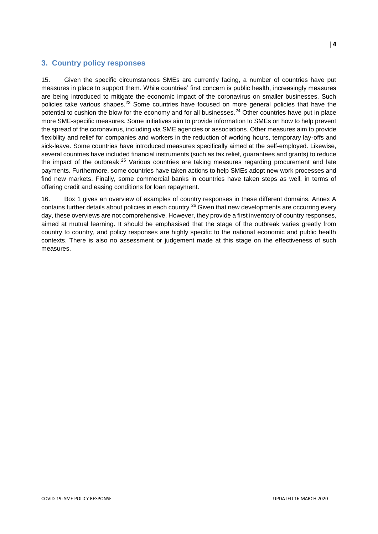## **3. Country policy responses**

15. Given the specific circumstances SMEs are currently facing, a number of countries have put measures in place to support them. While countries' first concern is public health, increasingly measures are being introduced to mitigate the economic impact of the coronavirus on smaller businesses. Such policies take various shapes.<sup>23</sup> Some countries have focused on more general policies that have the potential to cushion the blow for the economy and for all businesses.<sup>24</sup> Other countries have put in place more SME-specific measures. Some initiatives aim to provide information to SMEs on how to help prevent the spread of the coronavirus, including via SME agencies or associations. Other measures aim to provide flexibility and relief for companies and workers in the reduction of working hours, temporary lay-offs and sick-leave. Some countries have introduced measures specifically aimed at the self-employed. Likewise, several countries have included financial instruments (such as tax relief, guarantees and grants) to reduce the impact of the outbreak.<sup>25</sup> Various countries are taking measures regarding procurement and late payments. Furthermore, some countries have taken actions to help SMEs adopt new work processes and find new markets. Finally, some commercial banks in countries have taken steps as well, in terms of offering credit and easing conditions for loan repayment.

16. Box 1 gives an overview of examples of country responses in these different domains. Annex A contains further details about policies in each country.<sup>26</sup> Given that new developments are occurring every day, these overviews are not comprehensive. However, they provide a first inventory of country responses, aimed at mutual learning. It should be emphasised that the stage of the outbreak varies greatly from country to country, and policy responses are highly specific to the national economic and public health contexts. There is also no assessment or judgement made at this stage on the effectiveness of such measures.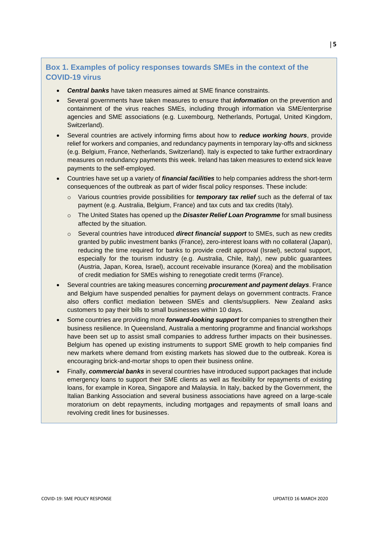# **Box 1. Examples of policy responses towards SMEs in the context of the COVID-19 virus**

- *Central banks* have taken measures aimed at SME finance constraints.
- Several governments have taken measures to ensure that *information* on the prevention and containment of the virus reaches SMEs, including through information via SME/enterprise agencies and SME associations (e.g. Luxembourg, Netherlands, Portugal, United Kingdom, Switzerland).
- Several countries are actively informing firms about how to *reduce working hours*, provide relief for workers and companies, and redundancy payments in temporary lay-offs and sickness (e.g. Belgium, France, Netherlands, Switzerland). Italy is expected to take further extraordinary measures on redundancy payments this week. Ireland has taken measures to extend sick leave payments to the self-employed.
- Countries have set up a variety of *financial facilities* to help companies address the short-term consequences of the outbreak as part of wider fiscal policy responses. These include:
	- o Various countries provide possibilities for *temporary tax relief* such as the deferral of tax payment (e.g. Australia, Belgium, France) and tax cuts and tax credits (Italy).
	- o The United States has opened up the *Disaster Relief Loan Programme* for small business affected by the situation.
	- o Several countries have introduced *direct financial support* to SMEs, such as new credits granted by public investment banks (France), zero-interest loans with no collateral (Japan), reducing the time required for banks to provide credit approval (Israel), sectoral support, especially for the tourism industry (e.g. Australia, Chile, Italy), new public guarantees (Austria, Japan, Korea, Israel), account receivable insurance (Korea) and the mobilisation of credit mediation for SMEs wishing to renegotiate credit terms (France).
- Several countries are taking measures concerning *procurement and payment delays*. France and Belgium have suspended penalties for payment delays on government contracts. France also offers conflict mediation between SMEs and clients/suppliers. New Zealand asks customers to pay their bills to small businesses within 10 days.
- Some countries are providing more *forward-looking support* for companies to strengthen their business resilience. In Queensland, Australia a mentoring programme and financial workshops have been set up to assist small companies to address further impacts on their businesses. Belgium has opened up existing instruments to support SME growth to help companies find new markets where demand from existing markets has slowed due to the outbreak. Korea is encouraging brick-and-mortar shops to open their business online.
- Finally, *commercial banks* in several countries have introduced support packages that include emergency loans to support their SME clients as well as flexibility for repayments of existing loans, for example in Korea, Singapore and Malaysia. In Italy, backed by the Government, the Italian Banking Association and several business associations have agreed on a large-scale moratorium on debt repayments, including mortgages and repayments of small loans and revolving credit lines for businesses.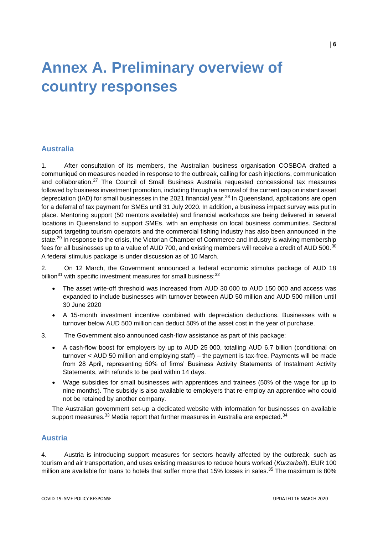# **Annex A. Preliminary overview of country responses**

#### **Australia**

1. After consultation of its members, the Australian business organisation COSBOA drafted a communiqué on measures needed in response to the outbreak, calling for cash injections, communication and collaboration.<sup>27</sup> The Council of Small Business Australia requested concessional tax measures followed by business investment promotion, including through a removal of the current cap on instant asset depreciation (IAD) for small businesses in the 2021 financial year.<sup>28</sup> In Queensland, applications are open for a deferral of tax payment for SMEs until 31 July 2020. In addition, a business impact survey was put in place. Mentoring support (50 mentors available) and financial workshops are being delivered in several locations in Queensland to support SMEs, with an emphasis on local business communities. Sectoral support targeting tourism operators and the commercial fishing industry has also been announced in the state.<sup>29</sup> In response to the crisis, the Victorian Chamber of Commerce and Industry is waiving membership fees for all businesses up to a value of AUD 700, and existing members will receive a credit of AUD 500.<sup>30</sup> A federal stimulus package is under discussion as of 10 March.

2. On 12 March, the Government announced a federal economic stimulus package of AUD 18 billion<sup>31</sup> with specific investment measures for small business:  $32$ 

- The asset write-off threshold was increased from AUD 30 000 to AUD 150 000 and access was expanded to include businesses with turnover between AUD 50 million and AUD 500 million until 30 June 2020
- A 15-month investment incentive combined with depreciation deductions. Businesses with a turnover below AUD 500 million can deduct 50% of the asset cost in the year of purchase.
- 3. The Government also announced cash-flow assistance as part of this package:
	- A cash-flow boost for employers by up to AUD 25 000, totalling AUD 6.7 billion (conditional on turnover < AUD 50 million and employing staff) – the payment is tax-free. Payments will be made from 28 April, representing 50% of firms' Business Activity Statements of Instalment Activity Statements, with refunds to be paid within 14 days.
	- Wage subsidies for small businesses with apprentices and trainees (50% of the wage for up to nine months). The subsidy is also available to employers that re-employ an apprentice who could not be retained by another company.

The Australian government set-up a dedicated website with information for businesses on available support measures. $33$  Media report that further measures in Australia are expected. $34$ 

## **Austria**

4. Austria is introducing support measures for sectors heavily affected by the outbreak, such as tourism and air transportation, and uses existing measures to reduce hours worked (*Kurzarbeit*). EUR 100 million are available for loans to hotels that suffer more that 15% losses in sales.<sup>35</sup> The maximum is 80%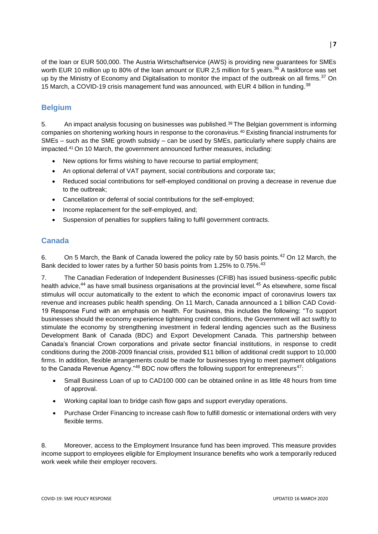of the loan or EUR 500,000. The Austria Wirtschaftservice (AWS) is providing new guarantees for SMEs worth EUR 10 million up to 80% of the loan amount or EUR 2,5 million for 5 years.<sup>36</sup> A taskforce was set up by the Ministry of Economy and Digitalisation to monitor the impact of the outbreak on all firms.<sup>37</sup> On 15 March, a COVID-19 crisis management fund was announced, with EUR 4 billion in funding.<sup>38</sup>

# **Belgium**

5. An impact analysis focusing on businesses was published.<sup>39</sup> The Belgian government is informing companies on shortening working hours in response to the coronavirus.<sup>40</sup> Existing financial instruments for SMEs – such as the SME growth subsidy – can be used by SMEs, particularly where supply chains are impacted.<sup>41</sup> On 10 March, the government announced further measures, including:

- New options for firms wishing to have recourse to partial employment;
- An optional deferral of VAT payment, social contributions and corporate tax;
- Reduced social contributions for self-employed conditional on proving a decrease in revenue due to the outbreak;
- Cancellation or deferral of social contributions for the self-employed;
- Income replacement for the self-employed, and;
- Suspension of penalties for suppliers failing to fulfil government contracts.

# **Canada**

6. On 5 March, the Bank of Canada lowered the policy rate by 50 basis points.  $42$  On 12 March, the Bank decided to lower rates by a further 50 basis points from 1.25% to 0.75%.<sup>43</sup>

7. The Canadian Federation of Independent Businesses (CFIB) has issued business-specific public health advice,<sup>44</sup> as have small business organisations at the provincial level.<sup>45</sup> As elsewhere, some fiscal stimulus will occur automatically to the extent to which the economic impact of coronavirus lowers tax revenue and increases public health spending. On 11 March, Canada announced a 1 billion CAD Covid-19 Response Fund with an emphasis on health. For business, this includes the following: "To support businesses should the economy experience tightening credit conditions, the Government will act swiftly to stimulate the economy by strengthening investment in federal lending agencies such as the Business Development Bank of Canada (BDC) and Export Development Canada. This partnership between Canada's financial Crown corporations and private sector financial institutions, in response to credit conditions during the 2008-2009 financial crisis, provided \$11 billion of additional credit support to 10,000 firms. In addition, flexible arrangements could be made for businesses trying to meet payment obligations to the Canada Revenue Agency."<sup>46</sup> BDC now offers the following support for entrepreneurs<sup>47</sup>:

- Small Business Loan of up to CAD100 000 can be obtained online in as little 48 hours from time of approval.
- Working capital loan to bridge cash flow gaps and support everyday operations.
- Purchase Order Financing to increase cash flow to fulfill domestic or international orders with very flexible terms.

8. Moreover, access to the Employment Insurance fund has been improved. This measure provides income support to employees eligible for Employment Insurance benefits who work a temporarily reduced work week while their employer recovers.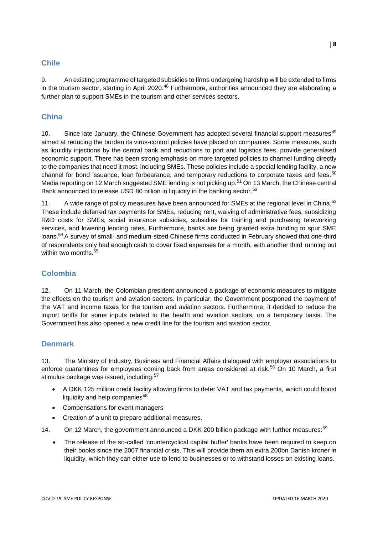# **Chile**

9. An existing programme of targeted subsidies to firms undergoing hardship will be extended to firms in the tourism sector, starting in April 2020.<sup>48</sup> Furthermore, authorities announced they are elaborating a further plan to support SMEs in the tourism and other services sectors.

# **China**

10. Since late January, the Chinese Government has adopted several financial support measures<sup>49</sup> aimed at reducing the burden its virus-control policies have placed on companies. Some measures, such as liquidity injections by the central bank and reductions to port and logistics fees, provide generalised economic support. There has been strong emphasis on more targeted policies to channel funding directly to the companies that need it most, including SMEs. These policies include a special lending facility, a new channel for bond issuance, loan forbearance, and temporary reductions to corporate taxes and fees.<sup>50</sup> Media reporting on 12 March suggested SME lending is not picking up.<sup>51</sup> On 13 March, the Chinese central Bank announced to release USD 80 billion in liquidity in the banking sector.<sup>52</sup>

11. A wide range of policy measures have been announced for SMEs at the regional level in China.<sup>53</sup> These include deferred tax payments for SMEs, reducing rent, waiving of administrative fees, subsidizing R&D costs for SMEs, social insurance subsidies, subsidies for training and purchasing teleworking services, and lowering lending rates. Furthermore, banks are being granted extra funding to spur SME loans.<sup>54</sup> A survey of small- and medium-sized Chinese firms conducted in February showed that one-third of respondents only had enough cash to cover fixed expenses for a month, with another third running out within two months.<sup>55</sup>

# **Colombia**

12. On 11 March, the Colombian president announced a package of economic measures to mitigate the effects on the tourism and aviation sectors. In particular, the Government postponed the payment of the VAT and income taxes for the tourism and aviation sectors. Furthermore, it decided to reduce the import tariffs for some inputs related to the health and aviation sectors, on a temporary basis. The Government has also opened a new credit line for the tourism and aviation sector.

# **Denmark**

13. The Ministry of Industry, Business and Financial Affairs dialogued with employer associations to enforce quarantines for employees coming back from areas considered at risk.<sup>56</sup> On 10 March, a first stimulus package was issued, including:<sup>57</sup>

- A DKK 125 million credit facility allowing firms to defer VAT and tax payments, which could boost [liquidity](https://www.fxstreet.com/cryptocurrencies) and help companies $58$
- Compensations for event managers
- Creation of a unit to prepare additional measures.

14. On 12 March, the government announced a DKK 200 billion package with further measures:<sup>59</sup>

 The release of the so-called 'countercyclical capital buffer' banks have been required to keep on their books since the 2007 financial crisis. This will provide them an extra 200bn Danish kroner in liquidity, which they can either use to lend to businesses or to withstand losses on existing loans.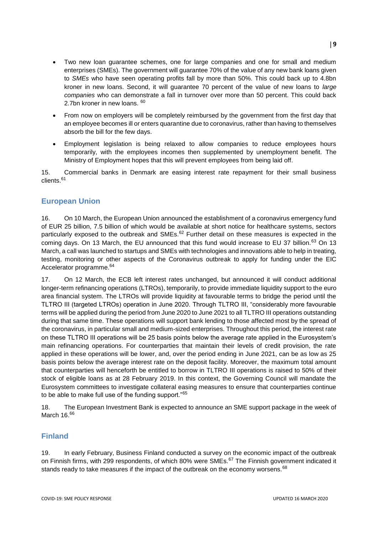- Two new loan guarantee schemes, one for large companies and one for small and medium enterprises (SMEs). The government will guarantee 70% of the value of any new bank loans given to *SMEs* who have seen operating profits fall by more than 50%. This could back up to 4.8bn kroner in new loans. Second, it will guarantee 70 percent of the value of new loans to *large companies* who can demonstrate a fall in turnover over more than 50 percent. This could back 2.7bn kroner in new loans. 60
- From now on employers will be completely reimbursed by the government from the first day that an employee becomes ill or enters quarantine due to coronavirus, rather than having to themselves absorb the bill for the few days.
- Employment legislation is being relaxed to allow companies to reduce employees hours temporarily, with the employees incomes then supplemented by unemployment benefit. The Ministry of Employment hopes that this will prevent employees from being laid off.

15. Commercial banks in Denmark are easing interest rate repayment for their small business clients.<sup>61</sup>

## **European Union**

16. On 10 March, the European Union announced the establishment of a coronavirus emergency fund of EUR 25 billion, 7.5 billion of which would be available at short notice for healthcare systems, sectors particularly exposed to the outbreak and SMEs.<sup>62</sup> Further detail on these measures is expected in the coming days. On 13 March, the EU announced that this fund would increase to EU 37 billion.<sup>63</sup> On 13 March, a call was launched to startups and SMEs with technologies and innovations able to help in treating, testing, monitoring or other aspects of the Coronavirus outbreak to apply for funding under the EIC Accelerator programme.<sup>64</sup>

17. On 12 March, the ECB left interest rates unchanged, but announced it will conduct additional longer-term refinancing operations (LTROs), temporarily, to provide immediate liquidity support to the euro area financial system. The LTROs will provide liquidity at favourable terms to bridge the period until the TLTRO III (targeted LTROs) operation in June 2020. Through TLTRO III, "considerably more favourable terms will be applied during the period from June 2020 to June 2021 to all TLTRO III operations outstanding during that same time. These operations will support bank lending to those affected most by the spread of the coronavirus, in particular small and medium-sized enterprises. Throughout this period, the interest rate on these TLTRO III operations will be 25 basis points below the average rate applied in the Eurosystem's main refinancing operations. For counterparties that maintain their levels of credit provision, the rate applied in these operations will be lower, and, over the period ending in June 2021, can be as low as 25 basis points below the average interest rate on the deposit facility. Moreover, the maximum total amount that counterparties will henceforth be entitled to borrow in TLTRO III operations is raised to 50% of their stock of eligible loans as at 28 February 2019. In this context, the Governing Council will mandate the Eurosystem committees to investigate collateral easing measures to ensure that counterparties continue to be able to make full use of the funding support."<sup>65</sup>

18. The European Investment Bank is expected to announce an SME support package in the week of March 16.66

#### **Finland**

19. In early February, Business Finland conducted a survey on the economic impact of the outbreak on Finnish firms, with 299 respondents, of which 80% were SMEs. $67$  The Finnish government indicated it stands ready to take measures if the impact of the outbreak on the economy worsens.<sup>68</sup>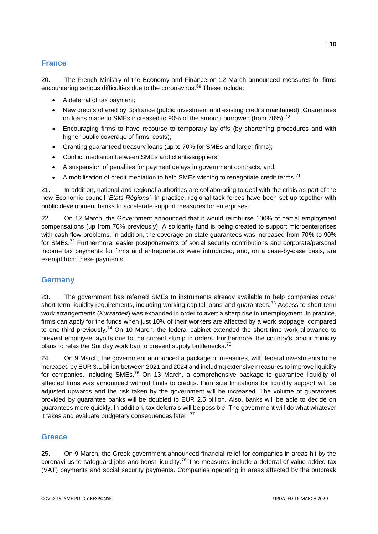# **France**

20. The French Ministry of the Economy and Finance on 12 March announced measures for firms encountering serious difficulties due to the coronavirus.<sup>69</sup> These include:

- A deferral of tax payment;
- New credits offered by Bpifrance (public investment and existing credits maintained). Guarantees on loans made to SMEs increased to 90% of the amount borrowed (from  $70\%$ );<sup>70</sup>
- Encouraging firms to have recourse to temporary lay-offs (by shortening procedures and with higher public coverage of firms' costs);
- Granting guaranteed treasury loans (up to 70% for SMEs and larger firms);
- Conflict mediation between SMEs and clients/suppliers;
- A suspension of penalties for payment delays in government contracts, and;
- A mobilisation of credit mediation to help SMEs wishing to renegotiate credit terms.<sup>71</sup>

21. In addition, national and regional authorities are collaborating to deal with the crisis as part of the new Economic council '*Etats-Régions'*. In practice, regional task forces have been set up together with public development banks to accelerate support measures for enterprises.

22. On 12 March, the Government announced that it would reimburse 100% of partial employment compensations (up from 70% previously). A solidarity fund is being created to support microenterprises with cash flow problems. In addition, the coverage on state guarantees was increased from 70% to 90% for SMEs.<sup>72</sup> Furthermore, easier postponements of social security contributions and corporate/personal income tax payments for firms and entrepreneurs were introduced, and, on a case-by-case basis, are exempt from these payments.

#### **Germany**

23. The government has referred SMEs to instruments already available to help companies cover short-term liquidity requirements, including working capital loans and guarantees.<sup>73</sup> Access to short-term work arrangements (*Kurzarbeit*) was expanded in order to avert a sharp rise in unemployment. In practice, firms can apply for the funds when just 10% of their workers are affected by a work stoppage, compared to one-third previously.<sup>74</sup> On 10 March, the federal cabinet extended the short-time work allowance to prevent employee layoffs due to the current slump in orders. Furthermore, the country's labour ministry plans to relax the Sunday work ban to prevent supply bottlenecks.<sup>75</sup>

24. On 9 March, the government announced a package of measures, with federal investments to be increased by EUR 3.1 billion between 2021 and 2024 and including extensive measures to improve liquidity for companies, including SMEs.<sup>76</sup> On 13 March, a comprehensive package to guarantee liquidity of affected firms was announced without limits to credits. Firm size limitations for liquidity support will be adjusted upwards and the risk taken by the government will be increased. The volume of guarantees provided by guarantee banks will be doubled to EUR 2.5 billion. Also, banks will be able to decide on guarantees more quickly. In addition, tax deferrals will be possible. The government will do what whatever it takes and evaluate budgetary consequences later.<sup>77</sup>

#### **Greece**

25. On 9 March, the Greek government announced financial relief for companies in areas hit by the coronavirus to safeguard jobs and boost liquidity.<sup>78</sup> The measures include a deferral of value-added tax (VAT) payments and social security payments. Companies operating in areas affected by the outbreak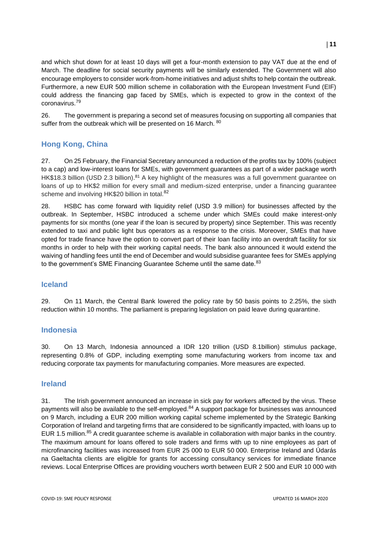and which shut down for at least 10 days will get a four-month extension to pay VAT due at the end of March. The deadline for social security payments will be similarly extended. The Government will also encourage employers to consider work-from-home initiatives and adjust shifts to help contain the outbreak. Furthermore, a new EUR 500 million scheme in collaboration with the European Investment Fund (EIF) could address the financing gap faced by SMEs, which is expected to grow in the context of the coronavirus.<sup>79</sup>

26. The government is preparing a second set of measures focusing on supporting all companies that suffer from the outbreak which will be presented on 16 March. 80

# **Hong Kong, China**

27. On 25 February, the Financial Secretary announced a reduction of the profits tax by 100% (subject to a cap) and low-interest loans for SMEs, with government guarantees as part of a wider package worth HK\$18.3 billion (USD 2.3 billion).<sup>81</sup> A key highlight of the measures was a full government guarantee on loans of up to HK\$2 million for every small and medium-sized enterprise, under a financing guarantee scheme and involving HK\$20 billion in total.<sup>82</sup>

28. HSBC has come forward with liquidity relief (USD 3.9 million) for businesses affected by the outbreak. In September, HSBC introduced a scheme under which SMEs could make interest-only payments for six months (one year if the loan is secured by property) since September. This was recently extended to taxi and public light bus operators as a response to the crisis. Moreover, SMEs that have opted for trade finance have the option to convert part of their loan facility into an overdraft facility for six months in order to help with their working capital needs. The bank also announced it would extend the waiving of handling fees until the end of December and would subsidise guarantee fees for SMEs applying to the government's SME Financing Guarantee Scheme until the same date.<sup>83</sup>

#### **Iceland**

29. On 11 March, the Central Bank lowered the policy rate by 50 basis points to 2.25%, the sixth reduction within 10 months. The parliament is preparing legislation on paid leave during quarantine.

#### **Indonesia**

30. On 13 March, Indonesia announced a IDR 120 trillion (USD 8.1billion) stimulus package, representing 0.8% of GDP, including exempting some manufacturing workers from income tax and reducing corporate tax payments for manufacturing companies. More measures are expected.

#### **Ireland**

31. The Irish government announced an increase in sick pay for workers affected by the virus. These payments will also be available to the self-employed.<sup>84</sup> A support package for businesses was announced on 9 March, including a EUR 200 million working capital scheme implemented by the Strategic Banking Corporation of Ireland and targeting firms that are considered to be significantly impacted, with loans up to EUR 1.5 million.<sup>85</sup> A credit guarantee scheme is available in collaboration with major banks in the country. The maximum amount for loans offered to sole traders and firms with up to nine employees as part of microfinancing facilities was increased from EUR 25 000 to EUR 50 000. Enterprise Ireland and Údarás na Gaeltachta clients are eligible for grants for accessing consultancy services for immediate finance reviews. Local Enterprise Offices are providing vouchers worth between EUR 2 500 and EUR 10 000 with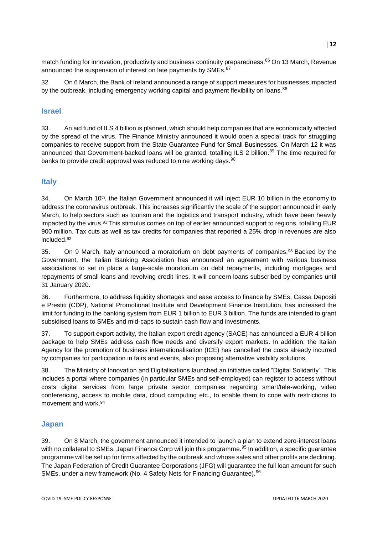match funding for innovation, productivity and business continuity preparedness.<sup>86</sup> On 13 March, Revenue announced the suspension of interest on late payments by SMEs.<sup>87</sup>

32. On 6 March, the Bank of Ireland announced a range of support measures for businesses impacted by the outbreak, including emergency working capital and payment flexibility on loans.<sup>88</sup>

#### **Israel**

33. An aid fund of ILS 4 billion is planned, which should help companies that are economically affected by the spread of the virus. The Finance Ministry announced it would open a special track for struggling companies to receive support from the State Guarantee Fund for Small Businesses. On March 12 it was announced that Government-backed loans will be granted, totalling ILS 2 billion.<sup>89</sup> The time required for banks to provide credit approval was reduced to nine working days.<sup>90</sup>

## **Italy**

34. On March 10<sup>th</sup>, the Italian Government announced it will inject EUR 10 billion in the economy to address the coronavirus outbreak. This increases significantly the scale of the support announced in early March, to help sectors such as [tourism](https://www.cnbc.com/2020/03/02/the-coronavirus-outbreak-could-mean-no-summer-vacations-this-year.html) and the logistics and transport industry, which have been heavily impacted by the virus.<sup>91</sup> This stimulus comes on top of earlier announced support to regions, totalling EUR 900 million. Tax cuts as well as tax credits for companies that reported a 25% drop in revenues are also included.<sup>92</sup>

35. On 9 March, Italy announced a moratorium on debt payments of companies.<sup>93</sup> Backed by the Government, the Italian Banking Association has announced an agreement with various business associations to set in place a large-scale moratorium on debt repayments, including mortgages and repayments of small loans and revolving credit lines. It will concern loans subscribed by companies until 31 January 2020.

36. Furthermore, to address liquidity shortages and ease access to finance by SMEs, Cassa Depositi e Prestiti (CDP), National Promotional Institute and Development Finance Institution, has increased the limit for funding to the banking system from EUR 1 billion to EUR 3 billion. The funds are intended to grant subsidised loans to SMEs and mid-caps to sustain cash flow and investments.

37. To support export activity, the Italian export credit agency (SACE) has announced a EUR 4 billion package to help SMEs address cash flow needs and diversify export markets. In addition, the Italian Agency for the promotion of business internationalisation (ICE) has cancelled the costs already incurred by companies for participation in fairs and events, also proposing alternative visibility solutions.

38. The Ministry of Innovation and Digitalisations launched an initiative called "Digital Solidarity". This includes a portal where companies (in particular SMEs and self-employed) can register to access without costs digital services from large private sector companies regarding smart/tele-working, video conferencing, access to mobile data, cloud computing etc., to enable them to cope with restrictions to movement and work.<sup>94</sup>

#### **Japan**

39. On 8 March, the government announced it intended to launch a plan to extend zero-interest loans with no collateral to SMEs. Japan Finance Corp will join this programme.<sup>95</sup> In addition, a specific guarantee programme will be set up for firms affected by the outbreak and whose sales and other profits are declining. The Japan Federation of Credit Guarantee Corporations (JFG) will guarantee the full loan amount for such SMEs, under a new framework (No. 4 Safety Nets for Financing Guarantee). <sup>96</sup>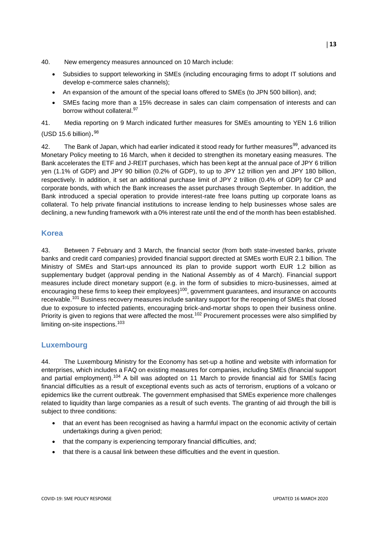- 40. New emergency measures announced on 10 March include:
	- Subsidies to support teleworking in SMEs (including encouraging firms to adopt IT solutions and develop e-commerce sales channels);
	- An expansion of the amount of the special loans offered to SMEs (to JPN 500 billion), and;
	- SMEs facing more than a 15% decrease in sales can claim compensation of interests and can borrow without collateral.<sup>97</sup>

41. Media reporting on 9 March indicated further measures for SMEs amounting to YEN 1.6 trillion (USD 15.6 billion). 98

42. The Bank of Japan, which had earlier indicated it stood ready for further measures<sup>99</sup>, advanced its Monetary Policy meeting to 16 March, when it decided to strengthen its monetary easing measures. The Bank accelerates the ETF and J-REIT purchases, which has been kept at the annual pace of JPY 6 trillion yen (1.1% of GDP) and JPY 90 billion (0.2% of GDP), to up to JPY 12 trillion yen and JPY 180 billion, respectively. In addition, it set an additional purchase limit of JPY 2 trillion (0.4% of GDP) for CP and corporate bonds, with which the Bank increases the asset purchases through September. In addition, the Bank introduced a special operation to provide interest-rate free loans putting up corporate loans as collateral. To help private financial institutions to increase lending to help businesses whose sales are declining, a new funding framework with a 0% interest rate until the end of the month has been established.

## **Korea**

43. Between 7 February and 3 March, the financial sector (from both state-invested banks, private banks and credit card companies) provided financial support directed at SMEs worth EUR 2.1 billion. The Ministry of SMEs and Start-ups announced its plan to provide support worth EUR 1.2 billion as supplementary budget (approval pending in the National Assembly as of 4 March). Financial support measures include direct monetary support (e.g. in the form of subsidies to micro-businesses, aimed at encouraging these firms to keep their employees)<sup>100</sup>, government guarantees, and insurance on accounts receivable.<sup>101</sup> Business recovery measures include sanitary support for the reopening of SMEs that closed due to exposure to infected patients, encouraging brick-and-mortar shops to open their business online. Priority is given to regions that were affected the most.<sup>102</sup> Procurement processes were also simplified by limiting on-site inspections.<sup>103</sup>

#### **Luxembourg**

44. The Luxembourg Ministry for the Economy has set-up a hotline and website with information for enterprises, which includes a FAQ on existing measures for companies, including SMEs (financial support and partial employment).<sup>104</sup> A bill was adopted on 11 March to provide financial aid for SMEs facing financial difficulties as a result of exceptional events such as acts of terrorism, eruptions of a volcano or epidemics like the current outbreak. The government emphasised that SMEs experience more challenges related to liquidity than large companies as a result of such events. The granting of aid through the bill is subject to three conditions:

- that an event has been recognised as having a harmful impact on the economic activity of certain undertakings during a given period;
- that the company is experiencing temporary financial difficulties, and;
- that there is a causal link between these difficulties and the event in question.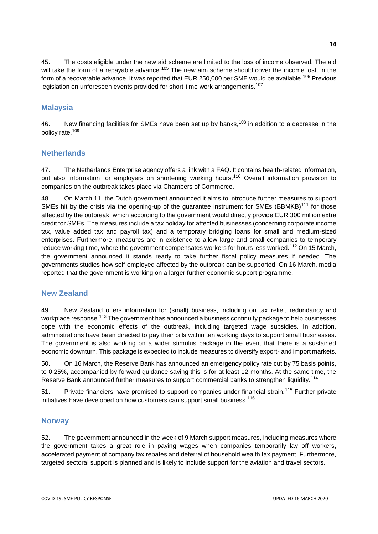45. The costs eligible under the new aid scheme are limited to the loss of income observed. The aid will take the form of a repayable advance.<sup>105</sup> The new aim scheme should cover the income lost, in the form of a recoverable advance. It was reported that EUR 250,000 per SME would be available.<sup>106</sup> Previous legislation on unforeseen events provided for short-time work arrangements.<sup>107</sup>

# **Malaysia**

46. New financing facilities for SMEs have been set up by banks,<sup>108</sup> in addition to a decrease in the policy rate.<sup>109</sup>

#### **Netherlands**

47. The Netherlands Enterprise agency offers a link with a FAQ. It contains health-related information, but also information for employers on shortening working hours.<sup>110</sup> Overall information provision to companies on the outbreak takes place via Chambers of Commerce.

48. On March 11, the Dutch government announced it aims to introduce further measures to support SMEs hit by the crisis via the opening-up of the quarantee instrument for SMEs (BBMKB)<sup>111</sup> for those affected by the outbreak, which according to the government would directly provide EUR 300 million extra credit for SMEs. The measures include a tax holiday for affected businesses (concerning corporate income tax, value added tax and payroll tax) and a temporary bridging loans for small and medium-sized enterprises. Furthermore, measures are in existence to allow large and small companies to temporary reduce working time, where the government compensates workers for hours less worked.<sup>112</sup> On 15 March, the government announced it stands ready to take further fiscal policy measures if needed. The governments studies how self-employed affected by the outbreak can be supported. On 16 March, media reported that the government is working on a larger further economic support programme.

#### **New Zealand**

49. New Zealand offers information for (small) business, including on tax relief, redundancy and workplace response.<sup>113</sup> The government has announced a business continuity package to help businesses cope with the economic effects of the outbreak, including targeted wage subsidies. In addition, administrations have been directed to pay their bills within ten working days to support small businesses. The government is also working on a wider stimulus package in the event that there is a sustained economic downturn. This package is expected to include measures to diversify export- and import markets.

50. On 16 March, the Reserve Bank has announced an emergency policy rate cut by 75 basis points, to 0.25%, accompanied by forward guidance saying this is for at least 12 months. At the same time, the Reserve Bank announced further measures to support commercial banks to strengthen liquidity.<sup>114</sup>

51. Private financiers have promised to support companies under financial strain.<sup>115</sup> Further private initiatives have developed on how customers can support small business.<sup>116</sup>

#### **Norway**

52. The government announced in the week of 9 March support measures, including measures where the government takes a great role in paying wages when companies temporarily lay off workers, accelerated payment of company tax rebates and deferral of household wealth tax payment. Furthermore, targeted sectoral support is planned and is likely to include support for the aviation and travel sectors.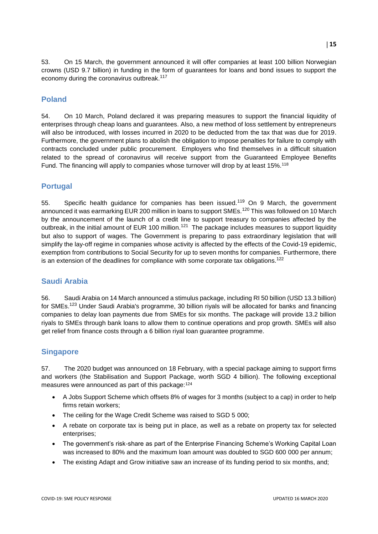53. On 15 March, the government announced it will offer companies at least 100 billion Norwegian crowns (USD 9.7 billion) in funding in the form of guarantees for loans and bond issues to support the economy during the coronavirus outbreak.<sup>117</sup>

# **Poland**

54. On 10 March, Poland declared it was preparing measures to support the financial liquidity of enterprises through cheap loans and guarantees. Also, a new method of loss settlement by entrepreneurs will also be introduced, with losses incurred in 2020 to be deducted from the tax that was due for 2019. Furthermore, the government plans to abolish the obligation to impose penalties for failure to comply with contracts concluded under public procurement. Employers who find themselves in a difficult situation related to the spread of coronavirus will receive support from the Guaranteed Employee Benefits Fund. The financing will apply to companies whose turnover will drop by at least 15%.<sup>118</sup>

## **Portugal**

55. Specific health quidance for companies has been issued.<sup>119</sup> On 9 March, the government announced it was earmarking EUR 200 million in loans to support SMEs.<sup>120</sup> This was followed on 10 March by the announcement of the launch of a credit line to support treasury to companies affected by the outbreak, in the initial amount of EUR 100 million.<sup>121</sup> The package includes measures to support liquidity but also to support of wages. The Government is preparing to pass extraordinary legislation that will simplify the lay-off regime in companies whose activity is affected by the effects of the Covid-19 epidemic, exemption from contributions to Social Security for up to seven months for companies. Furthermore, there is an extension of the deadlines for compliance with some corporate tax obligations.<sup>122</sup>

#### **Saudi Arabia**

56. Saudi Arabia on 14 March announced a stimulus package, including RI 50 billion (USD 13.3 billion) for SMEs.<sup>123</sup> Under Saudi Arabia's programme, 30 billion riyals will be allocated for banks and financing companies to delay loan payments due from SMEs for six months. The package will provide 13.2 billion riyals to SMEs through bank loans to allow them to continue operations and prop growth. SMEs will also get relief from finance costs through a 6 billion riyal loan guarantee programme.

#### **Singapore**

57. The 2020 budget was announced on 18 February, with a special package aiming to support firms and workers (the Stabilisation and Support Package, worth SGD 4 billion). The following exceptional measures were announced as part of this package: 124

- A Jobs Support Scheme which offsets 8% of wages for 3 months (subject to a cap) in order to help firms retain workers;
- The ceiling for the Wage Credit Scheme was raised to SGD 5 000;
- A rebate on corporate tax is being put in place, as well as a rebate on property tax for selected enterprises;
- The government's risk-share as part of the Enterprise Financing Scheme's Working Capital Loan was increased to 80% and the maximum loan amount was doubled to SGD 600 000 per annum;
- The existing Adapt and Grow initiative saw an increase of its funding period to six months, and;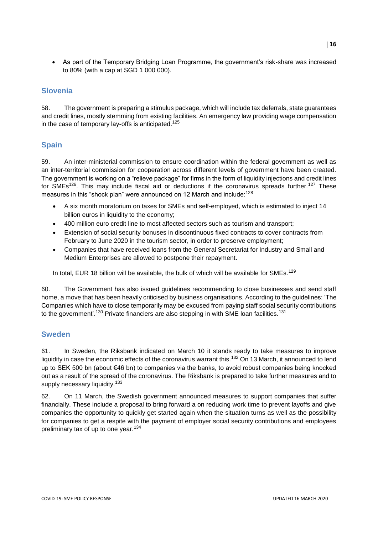As part of the Temporary Bridging Loan Programme, the government's risk-share was increased to 80% (with a cap at SGD 1 000 000).

# **Slovenia**

58. The government is preparing a stimulus package, which will include tax deferrals, state guarantees and credit lines, mostly stemming from existing facilities. An emergency law providing wage compensation in the case of temporary lay-offs is anticipated.<sup>125</sup>

# **Spain**

59. An inter-ministerial commission to ensure coordination within the federal government as well as an inter-territorial commission for cooperation across different levels of government have been created. The government is working on a "relieve package" for firms in the form of liquidity injections and credit lines for SMEs<sup>126</sup>. This may include fiscal aid or deductions if the coronavirus spreads further.<sup>127</sup> These measures in this "shock plan" were announced on 12 March and include:<sup>128</sup>

- A six month moratorium on taxes for SMEs and self-employed, which is estimated to inject 14 billion euros in liquidity to the economy;
- 400 million euro credit line to most affected sectors such as tourism and transport;
- Extension of social security bonuses in discontinuous fixed contracts to cover contracts from February to June 2020 in the tourism sector, in order to preserve employment;
- Companies that have received loans from the General Secretariat for Industry and Small and Medium Enterprises are allowed to postpone their repayment.

In total, EUR 18 billion will be available, the bulk of which will be available for SMEs.<sup>129</sup>

60. The Government has also issued guidelines recommending to close businesses and send staff home, a move that has been heavily criticised by business organisations. According to the guidelines: 'The Companies which have to close temporarily may be excused from paying staff social security contributions to the government'.<sup>130</sup> Private financiers are also stepping in with SME loan facilities.<sup>131</sup>

#### **Sweden**

61. In Sweden, the Riksbank indicated on March 10 it stands ready to take measures to improve liquidity in case the economic effects of the coronavirus warrant this.<sup>132</sup> On 13 March, it announced to lend up to SEK 500 bn (about €46 bn) to companies via the banks, to avoid robust companies being knocked out as a result of the spread of the coronavirus. The Riksbank is prepared to take further measures and to supply necessary liquidity.<sup>133</sup>

62. On 11 March, the Swedish government announced measures to support companies that suffer financially. These include a proposal to bring forward a on reducing work time to prevent layoffs and give companies the opportunity to quickly get started again when the situation turns as well as the possibility for companies to get a respite with the payment of employer social security contributions and employees preliminary tax of up to one year.<sup>134</sup>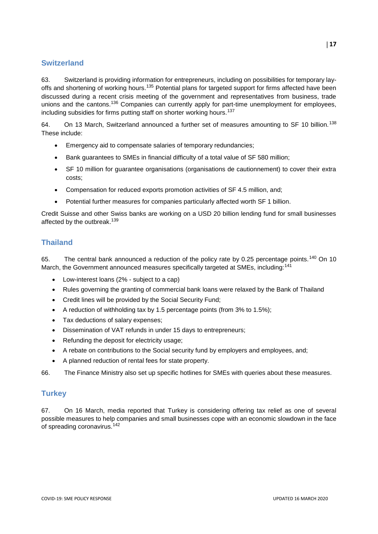# **Switzerland**

63. Switzerland is providing information for entrepreneurs, including on possibilities for temporary layoffs and shortening of working hours.<sup>135</sup> Potential plans for targeted support for firms affected have been discussed during a recent crisis meeting of the government and representatives from business, trade unions and the cantons.<sup>136</sup> Companies can currently apply for part-time unemployment for employees, including subsidies for firms putting staff on shorter working hours.<sup>137</sup>

64. On 13 March, Switzerland announced a further set of measures amounting to SF 10 billion.<sup>138</sup> These include:

- Emergency aid to compensate salaries of temporary redundancies;
- Bank guarantees to SMEs in financial difficulty of a total value of SF 580 million;
- SF 10 million for guarantee organisations (organisations de cautionnement) to cover their extra costs;
- Compensation for reduced exports promotion activities of SF 4.5 million, and;
- Potential further measures for companies particularly affected worth SF 1 billion.

Credit Suisse and other Swiss banks are working on a USD 20 billion lending fund for small businesses affected by the outbreak.<sup>139</sup>

# **Thailand**

65. The central bank announced a reduction of the policy rate by 0.25 percentage points.<sup>140</sup> On 10 March, the Government announced measures specifically targeted at SMEs, including:<sup>141</sup>

- Low-interest loans (2% subject to a cap)
- Rules governing the granting of commercial bank loans were relaxed by the Bank of Thailand
- Credit lines will be provided by the Social Security Fund;
- A reduction of withholding tax by 1.5 percentage points (from 3% to 1.5%);
- Tax deductions of salary expenses;
- Dissemination of VAT refunds in under 15 days to entrepreneurs;
- Refunding the deposit for electricity usage;
- A rebate on contributions to the Social security fund by employers and employees, and;
- A planned reduction of rental fees for state property.

66. The Finance Ministry also set up specific hotlines for SMEs with queries about these measures.

# **Turkey**

67. On 16 March, media reported that Turkey is considering offering tax relief as one of several possible measures to help companies and small businesses cope with an economic slowdown in the face of spreading coronavirus.<sup>142</sup>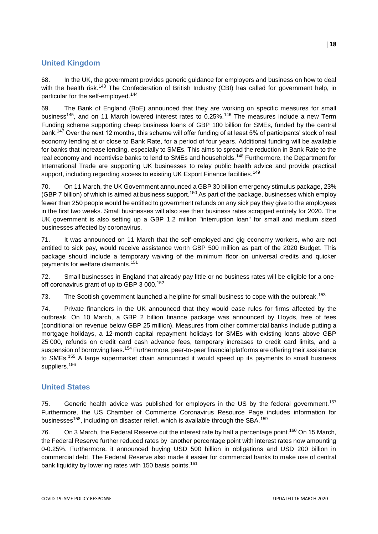# **United Kingdom**

68. In the UK, the government provides generic guidance for employers and business on how to deal with the health risk.<sup>143</sup> The Confederation of British Industry (CBI) has called for government help, in particular for the self-employed.<sup>144</sup>

69. The Bank of England (BoE) announced that they are working on specific measures for small business<sup>145</sup>, and on 11 March lowered interest rates to 0.25%.<sup>146</sup> The measures include a new Term Funding scheme supporting cheap business loans of GBP 100 billion for SMEs, funded by the central bank.<sup>147</sup> Over the next 12 months, this scheme will offer funding of at least 5% of participants' stock of real economy lending at or close to Bank Rate, for a period of four years. Additional funding will be available for banks that increase lending, especially to SMEs. This aims to spread the reduction in Bank Rate to the real economy and incentivise banks to lend to SMEs and households.<sup>148</sup> Furthermore, the Department for International Trade are supporting UK businesses to relay public health advice and provide practical support, including regarding access to existing UK Export Finance facilities.<sup>149</sup>

70. On 11 March, the UK Government announced a GBP 30 billion emergency stimulus package, 23% (GBP 7 billion) of which is aimed at business support.<sup>150</sup> As part of the package, businesses which employ fewer than 250 people would be entitled to government refunds on any sick pay they give to the employees in the first two weeks. Small businesses will also see their business rates scrapped entirely for 2020. The UK government is also setting up a GBP 1.2 million "interruption loan" for small and medium sized businesses affected by coronavirus.

71. It was announced on 11 March that the self-employed and gig economy workers, who are not entitled to sick pay, would receive assistance worth GBP 500 million as part of the 2020 Budget. This package should include a temporary waiving of the minimum floor on universal credits and quicker payments for welfare claimants.<sup>151</sup>

72. Small businesses in England that already pay little or no business rates will be eligible for a oneoff coronavirus grant of up to GBP 3 000.<sup>152</sup>

73. The Scottish government launched a helpline for small business to cope with the outbreak.<sup>153</sup>

74. Private financiers in the UK announced that they would ease rules for firms affected by the outbreak. On 10 March, a GBP 2 billion finance package was announced by Lloyds, free of fees (conditional on revenue below GBP 25 million). Measures from other commercial banks include putting a mortgage holidays, a 12-month capital repayment holidays for SMEs with existing loans above GBP 25 000, refunds on credit card cash advance fees, temporary increases to credit card limits, and a suspension of borrowing fees.<sup>154</sup> Furthermore, peer-to-peer financial platforms are offering their assistance to SMEs.<sup>155</sup> A large supermarket chain announced it would speed up its payments to small business suppliers.<sup>156</sup>

# **United States**

75. Generic health advice was published for employers in the US by the federal government.<sup>157</sup> Furthermore, the US Chamber of Commerce Coronavirus Resource Page includes information for businesses<sup>158</sup>, including on disaster relief, which is available through the SBA.<sup>159</sup>

76. On 3 March, the Federal Reserve cut the interest rate by half a percentage point.<sup>160</sup> On 15 March, the Federal Reserve further reduced rates by another percentage point with interest rates now amounting 0-0.25%. Furthermore, it announced buying USD 500 billion in obligations and USD 200 billion in commercial debt. The Federal Reserve also made it easier for commercial banks to make use of central bank liquidity by lowering rates with 150 basis points.<sup>161</sup>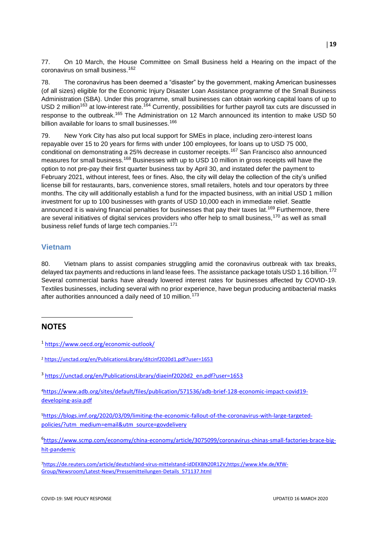77. On 10 March, the House Committee on Small Business held a Hearing on the impact of the coronavirus on small business.<sup>162</sup>

78. The coronavirus has been deemed a "disaster" by the government, making American businesses (of all sizes) eligible for the Economic Injury Disaster Loan Assistance programme of the Small Business Administration (SBA). Under this programme, small businesses can obtain working capital loans of up to USD 2 million<sup>163</sup> at low-interest rate.<sup>164</sup> Currently, possibilities for further payroll tax cuts are discussed in response to the outbreak.<sup>165</sup> The Administration on 12 March announced its intention to make USD 50 billion available for loans to small businesses.<sup>166</sup>

79. New York City has also put local support for SMEs in place, including zero-interest loans repayable over 15 to 20 years for firms with under 100 employees, for loans up to USD 75 000, conditional on demonstrating a 25% decrease in customer receipts.<sup>167</sup> San Francisco also announced measures for small business.<sup>168</sup> Businesses with up to USD 10 million in gross receipts will have the option to not pre-pay their first quarter business tax by April 30, and instated defer the payment to February 2021, without interest, fees or fines. Also, the city will delay the collection of the city's unified license bill for restaurants, bars, convenience stores, small retailers, hotels and tour operators by three months. The city will additionally establish a fund for the impacted business, with an initial USD 1 million investment for up to 100 businesses with grants of USD 10,000 each in immediate relief. Seattle announced it is waiving financial penalties for businesses that pay their taxes lat.<sup>169</sup> Furthermore, there are several initiatives of digital services providers who offer help to small business,<sup>170</sup> as well as small business relief funds of large tech companies.<sup>171</sup>

#### **Vietnam**

80. Vietnam plans to assist companies struggling amid the coronavirus outbreak with tax breaks, delayed tax payments and reductions in land lease fees. The assistance package totals USD 1.16 billion.<sup>172</sup> Several commercial banks have already lowered interest rates for businesses affected by COVID-19. Textiles businesses, including several with no prior experience, have begun producing antibacterial masks after authorities announced a daily need of 10 million.<sup>173</sup>

# **NOTES**

 $\overline{a}$ 

<sup>1</sup> <https://www.oecd.org/economic-outlook/>

<sup>2</sup> <https://unctad.org/en/PublicationsLibrary/ditcinf2020d1.pdf?user=1653>

<sup>&</sup>lt;sup>3</sup> [https://unctad.org/en/PublicationsLibrary/diaeinf2020d2\\_en.pdf?user=1653](https://unctad.org/en/PublicationsLibrary/diaeinf2020d2_en.pdf?user=1653)

<sup>4</sup>https://www.adb.org/sites/default/files/publication/571536/adb-brief-128-economic-impact-covid19 developing-asia.pdf

<sup>5</sup>https://blogs.imf.org/2020/03/09/limiting-the-economic-fallout-of-the-coronavirus-with-large-targetedpolicies/?utm\_medium=email&utm\_source=govdelivery

<sup>6</sup> [https://www.scmp.com/economy/china-economy/article/3075099/coronavirus-chinas-small-factories-brace-big](https://www.scmp.com/economy/china-economy/article/3075099/coronavirus-chinas-small-factories-brace-big-hit-pandemic)[hit-pandemic](https://www.scmp.com/economy/china-economy/article/3075099/coronavirus-chinas-small-factories-brace-big-hit-pandemic)

<sup>7</sup>[https://de.reuters.com/article/deutschland-virus-mittelstand-idDEKBN20R12V;](https://de.reuters.com/article/deutschland-virus-mittelstand-idDEKBN20R12V)[https://www.kfw.de/KfW-](https://www.kfw.de/KfW-Group/Newsroom/Latest-News/Pressemitteilungen-Details_571137.html)[Group/Newsroom/Latest-News/Pressemitteilungen-Details\\_571137.html](https://www.kfw.de/KfW-Group/Newsroom/Latest-News/Pressemitteilungen-Details_571137.html)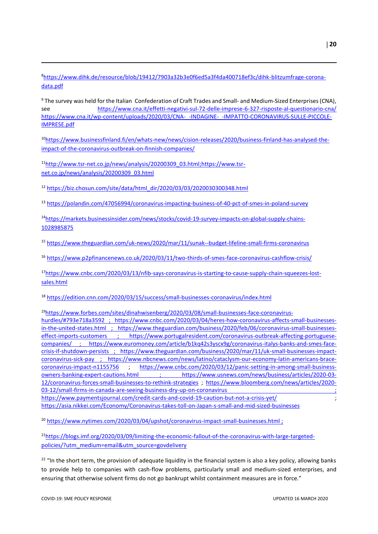8[https://www.dihk.de/resource/blob/19412/7903a32b3e0f6ed5a3f4da400718ef3c/dihk-blitzumfrage-corona](https://www.dihk.de/resource/blob/19412/7903a32b3e0f6ed5a3f4da400718ef3c/dihk-blitzumfrage-corona-data.pdf)[data.pdf](https://www.dihk.de/resource/blob/19412/7903a32b3e0f6ed5a3f4da400718ef3c/dihk-blitzumfrage-corona-data.pdf)

<sup>9</sup> The survey was held for the Italian Confederation of Craft Trades and Small- and Medium-Sized Enterprises (CNA), see <https://www.cna.it/effetti-negativi-sul-72-delle-imprese-6-327-risposte-al-questionario-cna/> [https://www.cna.it/wp-content/uploads/2020/03/CNA-\\_-INDAGINE-\\_-IMPATTO-CORONAVIRUS-SULLE-PICCOLE-](https://www.cna.it/wp-content/uploads/2020/03/CNA-_-INDAGINE-_-IMPATTO-CORONAVIRUS-SULLE-PICCOLE-IMPRESE.pdf)[IMPRESE.pdf](https://www.cna.it/wp-content/uploads/2020/03/CNA-_-INDAGINE-_-IMPATTO-CORONAVIRUS-SULLE-PICCOLE-IMPRESE.pdf)

10[https://www.businessfinland.fi/en/whats-new/news/cision-releases/2020/business-finland-has-analysed-the](https://www.businessfinland.fi/en/whats-new/news/cision-releases/2020/business-finland-has-analysed-the-impact-of-the-coronavirus-outbreak-on-finnish-companies/)[impact-of-the-coronavirus-outbreak-on-finnish-companies/](https://www.businessfinland.fi/en/whats-new/news/cision-releases/2020/business-finland-has-analysed-the-impact-of-the-coronavirus-outbreak-on-finnish-companies/)

11[http://www.tsr-net.co.jp/news/analysis/20200309\\_03.html;](http://www.tsr-net.co.jp/news/analysis/20200309_03.html)https://www.tsrnet.co.jp/news/analysis/20200309\_03.html

<sup>12</sup> [https://biz.chosun.com/site/data/html\\_dir/2020/03/03/2020030300348.html](https://biz.chosun.com/site/data/html_dir/2020/03/03/2020030300348.html)

<sup>13</sup> <https://polandin.com/47056994/coronavirus-impacting-business-of-40-pct-of-smes-in-poland-survey>

14[https://markets.businessinsider.com/news/stocks/covid-19-survey-impacts-on-global-supply-chains-](https://markets.businessinsider.com/news/stocks/covid-19-survey-impacts-on-global-supply-chains-1028985875)[1028985875](https://markets.businessinsider.com/news/stocks/covid-19-survey-impacts-on-global-supply-chains-1028985875)

<sup>15</sup> <https://www.theguardian.com/uk-news/2020/mar/11/sunak--budget-lifeline-small-firms-coronavirus>

<sup>16</sup> <https://www.p2pfinancenews.co.uk/2020/03/11/two-thirds-of-smes-face-coronavirus-cashflow-crisis/>

17[https://www.cnbc.com/2020/03/13/nfib-says-coronavirus-is-starting-to-cause-supply-chain-squeezes-lost](https://www.cnbc.com/2020/03/13/nfib-says-coronavirus-is-starting-to-cause-supply-chain-squeezes-lost-sales.html)[sales.html](https://www.cnbc.com/2020/03/13/nfib-says-coronavirus-is-starting-to-cause-supply-chain-squeezes-lost-sales.html)

<sup>18</sup> <https://edition.cnn.com/2020/03/15/success/small-businesses-coronavirus/index.html>

19[https://www.forbes.com/sites/dinahwisenberg/2020/03/08/small-businesses-face-coronavirus-](https://www.forbes.com/sites/dinahwisenberg/2020/03/08/small-businesses-face-coronavirus-hurdles/#793e718a3592)

[hurdles/#793e718a3592](https://www.forbes.com/sites/dinahwisenberg/2020/03/08/small-businesses-face-coronavirus-hurdles/#793e718a3592) ; [https://www.cnbc.com/2020/03/04/heres-how-coronavirus-affects-small-businesses](https://www.cnbc.com/2020/03/04/heres-how-coronavirus-affects-small-businesses-in-the-united-states.html)[in-the-united-states.html](https://www.cnbc.com/2020/03/04/heres-how-coronavirus-affects-small-businesses-in-the-united-states.html) ; [https://www.theguardian.com/business/2020/feb/06/coronavirus-small-businesses](https://www.theguardian.com/business/2020/feb/06/coronavirus-small-businesses-effect-imports-customers)[effect-imports-customers](https://www.theguardian.com/business/2020/feb/06/coronavirus-small-businesses-effect-imports-customers) ; [https://www.portugalresident.com/coronavirus-outbreak-affecting-portuguese](https://www.portugalresident.com/coronavirus-outbreak-affecting-portuguese-companies/)[companies/](https://www.portugalresident.com/coronavirus-outbreak-affecting-portuguese-companies/) ; [https://www.euromoney.com/article/b1kq42s3yscx9g/coronavirus-italys-banks-and-smes-face](https://www.euromoney.com/article/b1kq42s3yscx9g/coronavirus-italys-banks-and-smes-face-crisis-if-shutdown-persists)[crisis-if-shutdown-persists](https://www.euromoney.com/article/b1kq42s3yscx9g/coronavirus-italys-banks-and-smes-face-crisis-if-shutdown-persists) ; [https://www.theguardian.com/business/2020/mar/11/uk-small-businesses-impact](https://www.theguardian.com/business/2020/mar/11/uk-small-businesses-impact-coronavirus-sick-pay)[coronavirus-sick-pay](https://www.theguardian.com/business/2020/mar/11/uk-small-businesses-impact-coronavirus-sick-pay) ; [https://www.nbcnews.com/news/latino/cataclysm-our-economy-latin-americans-brace](https://www.nbcnews.com/news/latino/cataclysm-our-economy-latin-americans-brace-coronavirus-impact-n1155756)[coronavirus-impact-n1155756](https://www.nbcnews.com/news/latino/cataclysm-our-economy-latin-americans-brace-coronavirus-impact-n1155756) ; [https://www.cnbc.com/2020/03/12/panic-setting-in-among-small-business](https://www.cnbc.com/2020/03/12/panic-setting-in-among-small-business-owners-banking-expert-cautions.html)[owners-banking-expert-cautions.html](https://www.cnbc.com/2020/03/12/panic-setting-in-among-small-business-owners-banking-expert-cautions.html) ; [https://www.usnews.com/news/business/articles/2020-03-](https://www.usnews.com/news/business/articles/2020-03-12/coronavirus-forces-small-businesses-to-rethink-strategies) [12/coronavirus-forces-small-businesses-to-rethink-strategies](https://www.usnews.com/news/business/articles/2020-03-12/coronavirus-forces-small-businesses-to-rethink-strategies) ; [https://www.bloomberg.com/news/articles/2020-](https://eur02.safelinks.protection.outlook.com/?url=https%3A%2F%2Fwww.bloomberg.com%2Fnews%2Farticles%2F2020-03-12%2Fsmall-firms-in-canada-are-seeing-business-dry-up-on-coronavirus&data=02%7C01%7Cstephan.raes%40oecd.org%7C4bf54048d4ce473776a008d7c74692b7%7Cac41c7d41f61460db0f4fc925a2b471c%7C0%7C0%7C637196978230681483&sdata=bPG90XOKBHwACvZlxblL4g7g3Ypb4WXfYL0cRNwTph4%3D&reserved=0) [03-12/small-firms-in-canada-are-seeing-business-dry-up-on-coronavirus](https://eur02.safelinks.protection.outlook.com/?url=https%3A%2F%2Fwww.bloomberg.com%2Fnews%2Farticles%2F2020-03-12%2Fsmall-firms-in-canada-are-seeing-business-dry-up-on-coronavirus&data=02%7C01%7Cstephan.raes%40oecd.org%7C4bf54048d4ce473776a008d7c74692b7%7Cac41c7d41f61460db0f4fc925a2b471c%7C0%7C0%7C637196978230681483&sdata=bPG90XOKBHwACvZlxblL4g7g3Ypb4WXfYL0cRNwTph4%3D&reserved=0) ; <https://www.paymentsjournal.com/credit-cards-and-covid-19-caution-but-not-a-crisis-yet/> ;

<https://asia.nikkei.com/Economy/Coronavirus-takes-toll-on-Japan-s-small-and-mid-sized-businesses>

<sup>20</sup> <https://www.nytimes.com/2020/03/04/upshot/coronavirus-impact-small-businesses.html>;

21[https://blogs.imf.org/2020/03/09/limiting-the-economic-fallout-of-the-coronavirus-with-large-targeted](https://blogs.imf.org/2020/03/09/limiting-the-economic-fallout-of-the-coronavirus-with-large-targeted-policies/?utm_medium=email&utm_source=govdelivery)[policies/?utm\\_medium=email&utm\\_source=govdelivery](https://blogs.imf.org/2020/03/09/limiting-the-economic-fallout-of-the-coronavirus-with-large-targeted-policies/?utm_medium=email&utm_source=govdelivery)

<sup>22</sup> "In the short term, the provision of adequate liquidity in the financial system is also a key policy, allowing banks to provide help to companies with cash-flow problems, particularly small and medium-sized enterprises, and ensuring that otherwise solvent firms do not go bankrupt whilst containment measures are in force."

**.**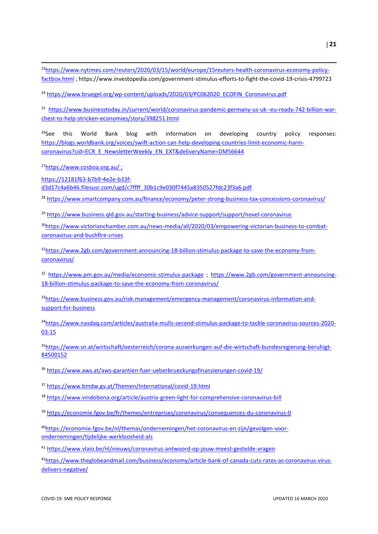**.** 23[https://www.nytimes.com/reuters/2020/03/15/world/europe/15reuters-health-coronavirus-economy-policy](https://www.nytimes.com/reuters/2020/03/15/world/europe/15reuters-health-coronavirus-economy-policy-factbox.html)[factbox.html](https://www.nytimes.com/reuters/2020/03/15/world/europe/15reuters-health-coronavirus-economy-policy-factbox.html) ; https://www.investopedia.com/government-stimulus-efforts-to-fight-the-covid-19-crisis-4799723

<sup>24</sup> [https://www.bruegel.org/wp-content/uploads/2020/03/PC062020\\_ECOFIN\\_Coronavirus.pdf](https://www.bruegel.org/wp-content/uploads/2020/03/PC062020_ECOFIN_Coronavirus.pdf)

<sup>25</sup> [https://www.businesstoday.in/current/world/coronavirus-pandemic-germany-us-uk--eu-ready-742-billion-war](https://www.businesstoday.in/current/world/coronavirus-pandemic-germany-us-uk--eu-ready-742-billion-war-chest-to-help-stricken-economies/story/398251.html)[chest-to-help-stricken-economies/story/398251.html](https://www.businesstoday.in/current/world/coronavirus-pandemic-germany-us-uk--eu-ready-742-billion-war-chest-to-help-stricken-economies/story/398251.html)

 $<sup>26</sup>$ See this World Bank blog with information on developing country policy responses:</sup> [https://blogs.worldbank.org/voices/swift-action-can-help-developing-countries-limit-economic-harm](https://blogs.worldbank.org/voices/swift-action-can-help-developing-countries-limit-economic-harm-coronavirus?cid=ECR_E_NewsletterWeekly_EN_EXT&deliveryName=DM56644)[coronavirus?cid=ECR\\_E\\_NewsletterWeekly\\_EN\\_EXT&deliveryName=DM56644](https://blogs.worldbank.org/voices/swift-action-can-help-developing-countries-limit-economic-harm-coronavirus?cid=ECR_E_NewsletterWeekly_EN_EXT&deliveryName=DM56644)

<sup>27</sup><https://www.cosboa.org.au/> ;

[https://12181f63-b7b9-4e2e-b33f-](https://12181f63-b7b9-4e2e-b33f-d3d17c4a6b46.filesusr.com/ugd/c7ffff_30b1c9e030f7445a8350527fdc23f3a6.pdf)

[d3d17c4a6b46.filesusr.com/ugd/c7ffff\\_30b1c9e030f7445a8350527fdc23f3a6.pdf](https://12181f63-b7b9-4e2e-b33f-d3d17c4a6b46.filesusr.com/ugd/c7ffff_30b1c9e030f7445a8350527fdc23f3a6.pdf)

<sup>28</sup> <https://www.smartcompany.com.au/finance/economy/peter-strong-business-tax-concessions-coronavirus/>

<sup>29</sup> <https://www.business.qld.gov.au/starting-business/advice-support/support/novel-coronavirus>

30[https://www.victorianchamber.com.au/news-media/all/2020/03/empowering-victorian-business-to-combat](https://www.victorianchamber.com.au/news-media/all/2020/03/empowering-victorian-business-to-combat-coronavirus-and-bushfire-crises)[coronavirus-and-bushfire-crises](https://www.victorianchamber.com.au/news-media/all/2020/03/empowering-victorian-business-to-combat-coronavirus-and-bushfire-crises)

31[https://www.2gb.com/government-announcing-18-billion-stimulus-package-to-save-the-economy-from](https://www.2gb.com/government-announcing-18-billion-stimulus-package-to-save-the-economy-from-coronavirus/)[coronavirus/](https://www.2gb.com/government-announcing-18-billion-stimulus-package-to-save-the-economy-from-coronavirus/)

<sup>32</sup> <https://www.pm.gov.au/media/economic-stimulus-package> ; [https://www.2gb.com/government-announcing-](https://www.2gb.com/government-announcing-18-billion-stimulus-package-to-save-the-economy-from-coronavirus/)[18-billion-stimulus-package-to-save-the-economy-from-coronavirus/](https://www.2gb.com/government-announcing-18-billion-stimulus-package-to-save-the-economy-from-coronavirus/)

33[https://www.business.gov.au/risk-management/emergency-management/coronavirus-information-and](https://www.business.gov.au/risk-management/emergency-management/coronavirus-information-and-support-for-business)[support-for-business](https://www.business.gov.au/risk-management/emergency-management/coronavirus-information-and-support-for-business)

<sup>34</sup>[https://www.nasdaq.com/articles/australia-mulls-second-stimulus-package-to-tackle-coronavirus-sources-2020-](https://www.nasdaq.com/articles/australia-mulls-second-stimulus-package-to-tackle-coronavirus-sources-2020-03-15) [03-15](https://www.nasdaq.com/articles/australia-mulls-second-stimulus-package-to-tackle-coronavirus-sources-2020-03-15)

35[https://www.sn.at/wirtschaft/oesterreich/corona-auswirkungen-auf-die-wirtschaft-bundesregierung-beruhigt-](https://www.sn.at/wirtschaft/oesterreich/corona-auswirkungen-auf-die-wirtschaft-bundesregierung-beruhigt-84500152)[84500152](https://www.sn.at/wirtschaft/oesterreich/corona-auswirkungen-auf-die-wirtschaft-bundesregierung-beruhigt-84500152)

<sup>36</sup> <https://www.aws.at/aws-garantien-fuer-ueberbrueckungsfinanzierungen-covid-19/>

<sup>37</sup> <https://www.bmdw.gv.at/Themen/International/covid-19.html>

<sup>38</sup> <https://www.vindobona.org/article/austria-green-light-for-comprehensive-coronavirus-bill>

<sup>39</sup> <https://economie.fgov.be/fr/themes/entreprises/coronavirus/consequences-du-coronavirus-0>

40[https://economie.fgov.be/nl/themas/ondernemingen/het-coronavirus-en-zijn/gevolgen-voor](https://economie.fgov.be/nl/themas/ondernemingen/het-coronavirus-en-zijn/gevolgen-voor-ondernemingen/tijdelijke-werkloosheid-als)[ondernemingen/tijdelijke-werkloosheid-als](https://economie.fgov.be/nl/themas/ondernemingen/het-coronavirus-en-zijn/gevolgen-voor-ondernemingen/tijdelijke-werkloosheid-als)

<sup>41</sup> <https://www.vlaio.be/nl/nieuws/coronavirus-antwoord-op-jouw-meest-gestelde-vragen>

42[https://www.theglobeandmail.com/business/economy/article-bank-of-canada-cuts-rates-as-coronavirus-virus](https://www.theglobeandmail.com/business/economy/article-bank-of-canada-cuts-rates-as-coronavirus-virus-delivers-negative/)[delivers-negative/](https://www.theglobeandmail.com/business/economy/article-bank-of-canada-cuts-rates-as-coronavirus-virus-delivers-negative/)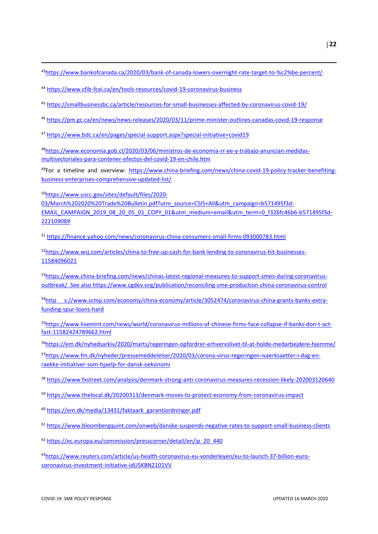[https://www.bankofcanada.ca/2020/03/bank-of-canada-lowers-overnight-rate-target-to-%c2%be-percent/.](https://www.bankofcanada.ca/2020/03/bank-of-canada-lowers-overnight-rate-target-to-%c2%be-percent/)

<https://www.cfib-fcei.ca/en/tools-resources/covid-19-coronavirus-business>

<https://smallbusinessbc.ca/article/resources-for-small-businesses-affected-by-coronavirus-covid-19/>

<https://pm.gc.ca/en/news/news-releases/2020/03/11/prime-minister-outlines-canadas-covid-19-response>

<https://www.bdc.ca/en/pages/special-support.aspx?special-initiative=covid19>

[https://www.economia.gob.cl/2020/03/06/ministros-de-economia-rr-ee-y-trabajo-anuncian-medidas](https://www.economia.gob.cl/2020/03/06/ministros-de-economia-rr-ee-y-trabajo-anuncian-medidas-multisectoriales-para-contener-efectos-del-covid-19-en-chile.htm)[multisectoriales-para-contener-efectos-del-covid-19-en-chile.htm](https://www.economia.gob.cl/2020/03/06/ministros-de-economia-rr-ee-y-trabajo-anuncian-medidas-multisectoriales-para-contener-efectos-del-covid-19-en-chile.htm)

For a timeline and overview: [https://www.china-briefing.com/news/china-covid-19-policy-tracker-benefiting](https://www.china-briefing.com/news/china-covid-19-policy-tracker-benefiting-business-enterprises-comprehensive-updated-list/)[business-enterprises-comprehensive-updated-list/](https://www.china-briefing.com/news/china-covid-19-policy-tracker-benefiting-business-enterprises-comprehensive-updated-list/)

[https://www.uscc.gov/sites/default/files/2020-](https://www.uscc.gov/sites/default/files/2020-03/March%202020%20Trade%20Bulletin.pdf?utm_source=CSIS+All&utm_campaign=b571495f3d-EMAIL_CAMPAIGN_2019_08_20_05_01_COPY_01&utm_medium=email&utm_term=0_f326fc46b6-b571495f3d-222109089)

**.** 

[03/March%202020%20Trade%20Bulletin.pdf?utm\\_source=CSIS+All&utm\\_campaign=b571495f3d-](https://www.uscc.gov/sites/default/files/2020-03/March%202020%20Trade%20Bulletin.pdf?utm_source=CSIS+All&utm_campaign=b571495f3d-EMAIL_CAMPAIGN_2019_08_20_05_01_COPY_01&utm_medium=email&utm_term=0_f326fc46b6-b571495f3d-222109089)[EMAIL\\_CAMPAIGN\\_2019\\_08\\_20\\_05\\_01\\_COPY\\_01&utm\\_medium=email&utm\\_term=0\\_f326fc46b6-b571495f3d-](https://www.uscc.gov/sites/default/files/2020-03/March%202020%20Trade%20Bulletin.pdf?utm_source=CSIS+All&utm_campaign=b571495f3d-EMAIL_CAMPAIGN_2019_08_20_05_01_COPY_01&utm_medium=email&utm_term=0_f326fc46b6-b571495f3d-222109089)

<https://finance.yahoo.com/news/coronavirus-china-consumers-small-firms-093000783.html>

[https://www.wsj.com/articles/china-to-free-up-cash-for-bank-lending-to-coronavirus-hit-businesses-](https://www.wsj.com/articles/china-to-free-up-cash-for-bank-lending-to-coronavirus-hit-businesses-11584096021)

[https://www.china-briefing.com/news/chinas-latest-regional-measures-to-support-smes-during-coronavirus](https://www.china-briefing.com/news/chinas-latest-regional-measures-to-support-smes-during-coronavirus-outbreak/)[outbreak/.](https://www.china-briefing.com/news/chinas-latest-regional-measures-to-support-smes-during-coronavirus-outbreak/) See also<https://www.cgdev.org/publication/reconciling-sme-production-china-coronavirus-control>

54http [s://www.scmp.com/economy/china-economy/article/3052474/coronavirus-china-grants-banks-extra](https://www.scmp.com/economy/china-economy/article/3052474/coronavirus-china-grants-banks-extra-funding-spur-loans-hard)[funding-spur-loans-hard](https://www.scmp.com/economy/china-economy/article/3052474/coronavirus-china-grants-banks-extra-funding-spur-loans-hard)

[https://www.livemint.com/news/world/coronavirus-millions-of-chinese-firms-face-collapse-if-banks-don-t-act](https://www.livemint.com/news/world/coronavirus-millions-of-chinese-firms-face-collapse-if-banks-don-t-act-fast-11582424789662.html)[fast-11582424789662.html](https://www.livemint.com/news/world/coronavirus-millions-of-chinese-firms-face-collapse-if-banks-don-t-act-fast-11582424789662.html)

<https://em.dk/nyhedsarkiv/2020/marts/regeringen-opfordrer-erhvervslivet-til-at-holde-medarbejdere-hjemme/> [https://www.fm.dk/nyheder/pressemeddelelser/2020/03/corona-virus-regeringen-ivaerksaetter-i-dag-en](https://www.fm.dk/nyheder/pressemeddelelser/2020/03/corona-virus-regeringen-ivaerksaetter-i-dag-en-raekke-initiativer-som-hjaelp-for-dansk-oekonomi)[raekke-initiativer-som-hjaelp-for-dansk-oekonomi](https://www.fm.dk/nyheder/pressemeddelelser/2020/03/corona-virus-regeringen-ivaerksaetter-i-dag-en-raekke-initiativer-som-hjaelp-for-dansk-oekonomi)

<https://www.fxstreet.com/analysis/denmark-strong-anti-coronavirus-measures-recession-likely-202003120640>

<https://www.thelocal.dk/20200313/denmark-moves-to-protect-economy-from-coronavirus-impact>

[https://em.dk/media/13431/faktaark\\_garantiordninger.pdf](https://em.dk/media/13431/faktaark_garantiordninger.pdf)

<https://www.bloombergquint.com/onweb/danske-suspends-negative-rates-to-support-small-business-clients>

[https://ec.europa.eu/commission/presscorner/detail/en/ip\\_20\\_440](https://ec.europa.eu/commission/presscorner/detail/en/ip_20_440)

[https://www.reuters.com/article/us-health-coronavirus-eu-vonderleyen/eu-to-launch-37-billion-euro](https://www.reuters.com/article/us-health-coronavirus-eu-vonderleyen/eu-to-launch-37-billion-euro-coronavirus-investment-initiative-idUSKBN2101VV)[coronavirus-investment-initiative-idUSKBN2101VV](https://www.reuters.com/article/us-health-coronavirus-eu-vonderleyen/eu-to-launch-37-billion-euro-coronavirus-investment-initiative-idUSKBN2101VV)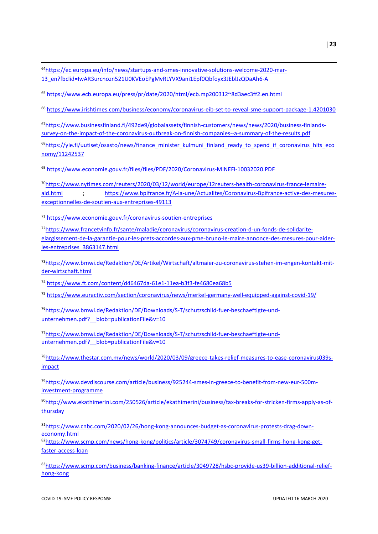64[https://ec.europa.eu/info/news/startups-and-smes-innovative-solutions-welcome-2020-mar-](https://ec.europa.eu/info/news/startups-and-smes-innovative-solutions-welcome-2020-mar-13_en?fbclid=IwAR3urcnozn521U0KVEoEPgMvRLYVX9ani1Epf0Qbfoyx3JEblJzQDaAh6-A)[13\\_en?fbclid=IwAR3urcnozn521U0KVEoEPgMvRLYVX9ani1Epf0Qbfoyx3JEblJzQDaAh6-A](https://ec.europa.eu/info/news/startups-and-smes-innovative-solutions-welcome-2020-mar-13_en?fbclid=IwAR3urcnozn521U0KVEoEPgMvRLYVX9ani1Epf0Qbfoyx3JEblJzQDaAh6-A)

<sup>65</sup> <https://www.ecb.europa.eu/press/pr/date/2020/html/ecb.mp200312~8d3aec3ff2.en.html>

<sup>66</sup> <https://www.irishtimes.com/business/economy/coronavirus-eib-set-to-reveal-sme-support-package-1.4201030>

67[https://www.businessfinland.fi/492de9/globalassets/finnish-customers/news/news/2020/business-finlands](https://www.businessfinland.fi/492de9/globalassets/finnish-customers/news/news/2020/business-finlands-survey-on-the-impact-of-the-coronavirus-outbreak-on-finnish-companies--a-summary-of-the-results.pdf)[survey-on-the-impact-of-the-coronavirus-outbreak-on-finnish-companies--a-summary-of-the-results.pdf](https://www.businessfinland.fi/492de9/globalassets/finnish-customers/news/news/2020/business-finlands-survey-on-the-impact-of-the-coronavirus-outbreak-on-finnish-companies--a-summary-of-the-results.pdf)

<sup>68</sup>[https://yle.fi/uutiset/osasto/news/finance\\_minister\\_kulmuni\\_finland\\_ready\\_to\\_spend\\_if\\_coronavirus\\_hits\\_eco](https://yle.fi/uutiset/osasto/news/finance_minister_kulmuni_finland_ready_to_spend_if_coronavirus_hits_economy/11242537) [nomy/11242537](https://yle.fi/uutiset/osasto/news/finance_minister_kulmuni_finland_ready_to_spend_if_coronavirus_hits_economy/11242537)

<sup>69</sup> [https://www.economie.gouv.fr/files/files/PDF/2020/Coronavirus-MINEFI-10032020.PDF](https://eur02.safelinks.protection.outlook.com/?url=https%3A%2F%2Fwww.economie.gouv.fr%2Ffiles%2Ffiles%2FPDF%2F2020%2FCoronavirus-MINEFI-10032020.PDF&data=02%7C01%7Calain.dupeyras%40ocde.org%7C1fa4118dd4ff46a2ec4408d7c696d0d1%7Cac41c7d41f61460db0f4fc925a2b471c%7C0%7C1%7C637196223443341428&sdata=wHIbIDdEO0K2VKQCZ0AVK95XGh1GEMezmX7R5fXtA1w%3D&reserved=0)

70[https://www.nytimes.com/reuters/2020/03/12/world/europe/12reuters-health-coronavirus-france-lemaire](https://www.nytimes.com/reuters/2020/03/12/world/europe/12reuters-health-coronavirus-france-lemaire-aid.html)[aid.html](https://www.nytimes.com/reuters/2020/03/12/world/europe/12reuters-health-coronavirus-france-lemaire-aid.html) : [https://www.bpifrance.fr/A-la-une/Actualites/Coronavirus-Bpifrance-active-des-mesures](https://www.bpifrance.fr/A-la-une/Actualites/Coronavirus-Bpifrance-active-des-mesures-exceptionnelles-de-soutien-aux-entreprises-49113)[exceptionnelles-de-soutien-aux-entreprises-49113](https://www.bpifrance.fr/A-la-une/Actualites/Coronavirus-Bpifrance-active-des-mesures-exceptionnelles-de-soutien-aux-entreprises-49113)

<sup>71</sup> <https://www.economie.gouv.fr/coronavirus-soutien-entreprises>

**.** 

72[https://www.francetvinfo.fr/sante/maladie/coronavirus/coronavirus-creation-d-un-fonds-de-solidarite](https://www.francetvinfo.fr/sante/maladie/coronavirus/coronavirus-creation-d-un-fonds-de-solidarite-elargissement-de-la-garantie-pour-les-prets-accordes-aux-pme-bruno-le-maire-annonce-des-mesures-pour-aider-les-entreprises_3863147.html)[elargissement-de-la-garantie-pour-les-prets-accordes-aux-pme-bruno-le-maire-annonce-des-mesures-pour-aider](https://www.francetvinfo.fr/sante/maladie/coronavirus/coronavirus-creation-d-un-fonds-de-solidarite-elargissement-de-la-garantie-pour-les-prets-accordes-aux-pme-bruno-le-maire-annonce-des-mesures-pour-aider-les-entreprises_3863147.html)[les-entreprises\\_3863147.html](https://www.francetvinfo.fr/sante/maladie/coronavirus/coronavirus-creation-d-un-fonds-de-solidarite-elargissement-de-la-garantie-pour-les-prets-accordes-aux-pme-bruno-le-maire-annonce-des-mesures-pour-aider-les-entreprises_3863147.html)

73[https://www.bmwi.de/Redaktion/DE/Artikel/Wirtschaft/altmaier-zu-coronavirus-stehen-im-engen-kontakt-mit](https://www.bmwi.de/Redaktion/DE/Artikel/Wirtschaft/altmaier-zu-coronavirus-stehen-im-engen-kontakt-mit-der-wirtschaft.html)[der-wirtschaft.html](https://www.bmwi.de/Redaktion/DE/Artikel/Wirtschaft/altmaier-zu-coronavirus-stehen-im-engen-kontakt-mit-der-wirtschaft.html)

<sup>74</sup> <https://www.ft.com/content/d46467da-61e1-11ea-b3f3-fe4680ea68b5>

<sup>75</sup> <https://www.euractiv.com/section/coronavirus/news/merkel-germany-well-equipped-against-covid-19/>

76[https://www.bmwi.de/Redaktion/DE/Downloads/S-T/schutzschild-fuer-beschaeftigte-und](https://www.bmwi.de/Redaktion/DE/Downloads/S-T/schutzschild-fuer-beschaeftigte-und-unternehmen.pdf?__blob=publicationFile&v=10)unternehmen.pdf? blob=publicationFile&v=10

77[https://www.bmwi.de/Redaktion/DE/Downloads/S-T/schutzschild-fuer-beschaeftigte-und](https://www.bmwi.de/Redaktion/DE/Downloads/S-T/schutzschild-fuer-beschaeftigte-und-unternehmen.pdf?__blob=publicationFile&v=10)unternehmen.pdf? blob=publicationFile&v=10

78[https://www.thestar.com.my/news/world/2020/03/09/greece-takes-relief-measures-to-ease-coronavirus039s](https://www.thestar.com.my/news/world/2020/03/09/greece-takes-relief-measures-to-ease-coronavirus039s-impact)[impact](https://www.thestar.com.my/news/world/2020/03/09/greece-takes-relief-measures-to-ease-coronavirus039s-impact)

79[https://www.devdiscourse.com/article/business/925244-smes-in-greece-to-benefit-from-new-eur-500m](https://www.devdiscourse.com/article/business/925244-smes-in-greece-to-benefit-from-new-eur-500m-investment-programme)[investment-programme](https://www.devdiscourse.com/article/business/925244-smes-in-greece-to-benefit-from-new-eur-500m-investment-programme)

80[http://www.ekathimerini.com/250526/article/ekathimerini/business/tax-breaks-for-stricken-firms-apply-as-of](http://www.ekathimerini.com/250526/article/ekathimerini/business/tax-breaks-for-stricken-firms-apply-as-of-thursday)[thursday](http://www.ekathimerini.com/250526/article/ekathimerini/business/tax-breaks-for-stricken-firms-apply-as-of-thursday)

81[https://www.cnbc.com/2020/02/26/hong-kong-announces-budget-as-coronavirus-protests-drag-down](https://www.cnbc.com/2020/02/26/hong-kong-announces-budget-as-coronavirus-protests-drag-down-economy.html)[economy.html](https://www.cnbc.com/2020/02/26/hong-kong-announces-budget-as-coronavirus-protests-drag-down-economy.html)

82[https://www.scmp.com/news/hong-kong/politics/article/3074749/coronavirus-small-firms-hong-kong-get](https://www.scmp.com/news/hong-kong/politics/article/3074749/coronavirus-small-firms-hong-kong-get-faster-access-loan)[faster-access-loan](https://www.scmp.com/news/hong-kong/politics/article/3074749/coronavirus-small-firms-hong-kong-get-faster-access-loan)

83[https://www.scmp.com/business/banking-finance/article/3049728/hsbc-provide-us39-billion-additional-relief](https://www.scmp.com/business/banking-finance/article/3049728/hsbc-provide-us39-billion-additional-relief-hong-kong)[hong-kong](https://www.scmp.com/business/banking-finance/article/3049728/hsbc-provide-us39-billion-additional-relief-hong-kong)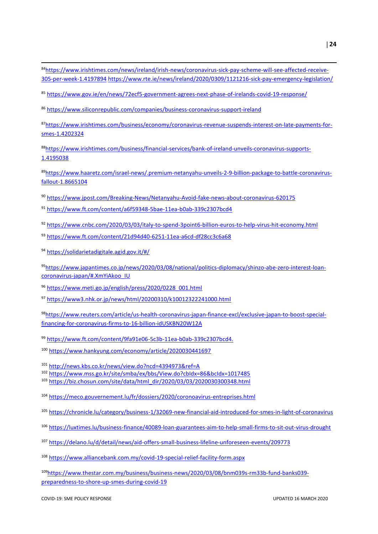- **.** [https://www.irishtimes.com/news/ireland/irish-news/coronavirus-sick-pay-scheme-will-see-affected-receive-](https://www.irishtimes.com/news/ireland/irish-news/coronavirus-sick-pay-scheme-will-see-affected-receive-305-per-week-1.4197894)[305-per-week-1.4197894](https://www.irishtimes.com/news/ireland/irish-news/coronavirus-sick-pay-scheme-will-see-affected-receive-305-per-week-1.4197894) <https://www.rte.ie/news/ireland/2020/0309/1121216-sick-pay-emergency-legislation/>
- <https://www.gov.ie/en/news/72ecf5-government-agrees-next-phase-of-irelands-covid-19-response/>

<https://www.siliconrepublic.com/companies/business-coronavirus-support-ireland>

[https://www.irishtimes.com/business/economy/coronavirus-revenue-suspends-interest-on-late-payments-for](https://www.irishtimes.com/business/economy/coronavirus-revenue-suspends-interest-on-late-payments-for-smes-1.4202324)[smes-1.4202324](https://www.irishtimes.com/business/economy/coronavirus-revenue-suspends-interest-on-late-payments-for-smes-1.4202324)

[https://www.irishtimes.com/business/financial-services/bank-of-ireland-unveils-coronavirus-supports-](https://www.irishtimes.com/business/financial-services/bank-of-ireland-unveils-coronavirus-supports-1.4195038)[1.4195038](https://www.irishtimes.com/business/financial-services/bank-of-ireland-unveils-coronavirus-supports-1.4195038)

[https://www.haaretz.com/israel-news/.premium-netanyahu-unveils-2-9-billion-package-to-battle-coronavirus](https://www.haaretz.com/israel-news/.premium-netanyahu-unveils-2-9-billion-package-to-battle-coronavirus-fallout-1.8665104)[fallout-1.8665104](https://www.haaretz.com/israel-news/.premium-netanyahu-unveils-2-9-billion-package-to-battle-coronavirus-fallout-1.8665104)

- <https://www.jpost.com/Breaking-News/Netanyahu-Avoid-fake-news-about-coronavirus-620175>
- <https://www.ft.com/content/a6f59348-5bae-11ea-b0ab-339c2307bcd4>
- <https://www.cnbc.com/2020/03/03/italy-to-spend-3point6-billion-euros-to-help-virus-hit-economy.html>
- <https://www.ft.com/content/21d94d40-6251-11ea-a6cd-df28cc3c6a68>
- <https://solidarietadigitale.agid.gov.it/#/>

[https://www.japantimes.co.jp/news/2020/03/08/national/politics-diplomacy/shinzo-abe-zero-interest-loan](https://www.japantimes.co.jp/news/2020/03/08/national/politics-diplomacy/shinzo-abe-zero-interest-loan-coronavirus-japan/#.XmYiAkoo_IU)[coronavirus-japan/#.XmYiAkoo\\_IU](https://www.japantimes.co.jp/news/2020/03/08/national/politics-diplomacy/shinzo-abe-zero-interest-loan-coronavirus-japan/#.XmYiAkoo_IU)

- [https://www.meti.go.jp/english/press/2020/0228\\_001.html](https://www.meti.go.jp/english/press/2020/0228_001.html)
- <https://www3.nhk.or.jp/news/html/20200310/k10012322241000.html>

[https://www.reuters.com/article/us-health-coronavirus-japan-finance-excl/exclusive-japan-to-boost-special](https://www.reuters.com/article/us-health-coronavirus-japan-finance-excl/exclusive-japan-to-boost-special-financing-for-coronavirus-firms-to-16-billion-idUSKBN20W12A)[financing-for-coronavirus-firms-to-16-billion-idUSKBN20W12A](https://www.reuters.com/article/us-health-coronavirus-japan-finance-excl/exclusive-japan-to-boost-special-financing-for-coronavirus-firms-to-16-billion-idUSKBN20W12A)

[https://www.ft.com/content/9fa91e06-5c3b-11ea-b0ab-339c2307bcd4.](https://www.ft.com/content/9fa91e06-5c3b-11ea-b0ab-339c2307bcd4)

<https://www.hankyung.com/economy/article/2020030441697>

http://news.kbs.co.kr/news/view.do?ncd=4394973&ref=A

https://www.mss.go.kr/site/smba/ex/bbs/View.do?cbIdx=86&bcIdx=1017485

[https://biz.chosun.com/site/data/html\\_dir/2020/03/03/2020030300348.html](https://biz.chosun.com/site/data/html_dir/2020/03/03/2020030300348.html)

- <https://meco.gouvernement.lu/fr/dossiers/2020/coronoavirus-entreprises.html>
- <https://chronicle.lu/category/business-1/32069-new-financial-aid-introduced-for-smes-in-light-of-coronavirus>
- [https://luxtimes.lu/business-finance/40089-loan-guarantees-aim-to-help-small-firms-to-sit-out-virus-drought](https://eur02.safelinks.protection.outlook.com/?url=https%3A%2F%2Fluxtimes.lu%2Fbusiness-finance%2F40089-loan-guarantees-aim-to-help-small-firms-to-sit-out-virus-drought&data=02%7C01%7Cstephan.raes%40oecd.org%7C62db4646a9014b23e28d08d7c81f008d%7Cac41c7d41f61460db0f4fc925a2b471c%7C0%7C0%7C637197907787882143&sdata=LvexouBfknG72eMrHNImvmL%2B6VQnwH7rpRbxG7s6Umc%3D&reserved=0)
- <https://delano.lu/d/detail/news/aid-offers-small-business-lifeline-unforeseen-events/209773>

<https://www.alliancebank.com.my/covid-19-special-relief-facility-form.aspx>

[https://www.thestar.com.my/business/business-news/2020/03/08/bnm039s-rm33b-fund-banks039](https://www.thestar.com.my/business/business-news/2020/03/08/bnm039s-rm33b-fund-banks039-preparedness-to-shore-up-smes-during-covid-19) [preparedness-to-shore-up-smes-during-covid-19](https://www.thestar.com.my/business/business-news/2020/03/08/bnm039s-rm33b-fund-banks039-preparedness-to-shore-up-smes-during-covid-19)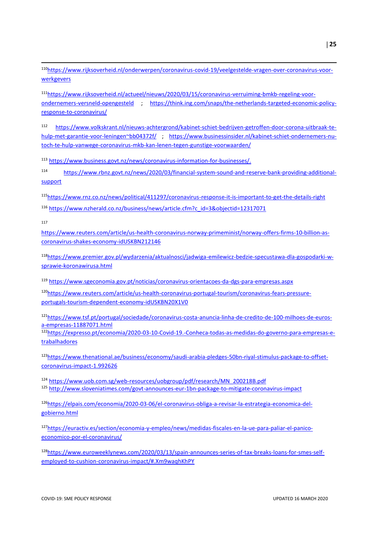110[https://www.rijksoverheid.nl/onderwerpen/coronavirus-covid-19/veelgestelde-vragen-over-coronavirus-voor](https://www.rijksoverheid.nl/onderwerpen/coronavirus-covid-19/veelgestelde-vragen-over-coronavirus-voor-werkgevers)[werkgevers](https://www.rijksoverheid.nl/onderwerpen/coronavirus-covid-19/veelgestelde-vragen-over-coronavirus-voor-werkgevers)

111[https://www.rijksoverheid.nl/actueel/nieuws/2020/03/15/coronavirus-verruiming-bmkb-regeling-voor](https://www.rijksoverheid.nl/actueel/nieuws/2020/03/15/coronavirus-verruiming-bmkb-regeling-voor-ondernemers-versneld-opengesteld)[ondernemers-versneld-opengesteld](https://www.rijksoverheid.nl/actueel/nieuws/2020/03/15/coronavirus-verruiming-bmkb-regeling-voor-ondernemers-versneld-opengesteld) ; [https://think.ing.com/snaps/the-netherlands-targeted-economic-policy](https://think.ing.com/snaps/the-netherlands-targeted-economic-policy-response-to-coronavirus/)[response-to-coronavirus/](https://think.ing.com/snaps/the-netherlands-targeted-economic-policy-response-to-coronavirus/)

<sup>112</sup> [https://www.volkskrant.nl/nieuws-achtergrond/kabinet-schiet-bedrijven-getroffen-door-corona-uitbraak-te](https://www.volkskrant.nl/nieuws-achtergrond/kabinet-schiet-bedrijven-getroffen-door-corona-uitbraak-te-hulp-met-garantie-voor-leningen~bb04372f/)[hulp-met-garantie-voor-leningen~bb04372f/](https://www.volkskrant.nl/nieuws-achtergrond/kabinet-schiet-bedrijven-getroffen-door-corona-uitbraak-te-hulp-met-garantie-voor-leningen~bb04372f/) ; [https://www.businessinsider.nl/kabinet-schiet-ondernemers-nu](https://www.businessinsider.nl/kabinet-schiet-ondernemers-nu-toch-te-hulp-vanwege-coronavirus-mkb-kan-lenen-tegen-gunstige-voorwaarden/)[toch-te-hulp-vanwege-coronavirus-mkb-kan-lenen-tegen-gunstige-voorwaarden/](https://www.businessinsider.nl/kabinet-schiet-ondernemers-nu-toch-te-hulp-vanwege-coronavirus-mkb-kan-lenen-tegen-gunstige-voorwaarden/)

<sup>113</sup> [https://www.business.govt.nz/news/coronavirus-information-for-businesses/.](https://www.business.govt.nz/news/coronavirus-information-for-businesses/)

<sup>114</sup> [https://www.rbnz.govt.nz/news/2020/03/financial-system-sound-and-reserve-bank-providing-additional](https://www.rbnz.govt.nz/news/2020/03/financial-system-sound-and-reserve-bank-providing-additional-support)[support](https://www.rbnz.govt.nz/news/2020/03/financial-system-sound-and-reserve-bank-providing-additional-support)

<sup>115</sup><https://www.rnz.co.nz/news/political/411297/coronavirus-response-it-is-important-to-get-the-details-right> <sup>116</sup> [https://www.nzherald.co.nz/business/news/article.cfm?c\\_id=3&objectid=12317071](https://www.nzherald.co.nz/business/news/article.cfm?c_id=3&objectid=12317071)

117

**.** 

[https://www.reuters.com/article/us-health-coronavirus-norway-primeminist/norway-offers-firms-10-billion-as](https://eur02.safelinks.protection.outlook.com/?url=https%3A%2F%2Fwww.reuters.com%2Farticle%2Fus-health-coronavirus-norway-primeminist%2Fnorway-offers-firms-10-billion-as-coronavirus-shakes-economy-idUSKBN212146&data=02%7C01%7Cstephan.raes%40oecd.org%7Cfec097f507f647a509fe08d7c9b68ee1%7Cac41c7d41f61460db0f4fc925a2b471c%7C0%7C0%7C637199658234856710&sdata=iyf9UsepN8SNwdhrVRuh1xLwD%2Bepu11HbYtGoR5%2FWiM%3D&reserved=0)[coronavirus-shakes-economy-idUSKBN212146](https://eur02.safelinks.protection.outlook.com/?url=https%3A%2F%2Fwww.reuters.com%2Farticle%2Fus-health-coronavirus-norway-primeminist%2Fnorway-offers-firms-10-billion-as-coronavirus-shakes-economy-idUSKBN212146&data=02%7C01%7Cstephan.raes%40oecd.org%7Cfec097f507f647a509fe08d7c9b68ee1%7Cac41c7d41f61460db0f4fc925a2b471c%7C0%7C0%7C637199658234856710&sdata=iyf9UsepN8SNwdhrVRuh1xLwD%2Bepu11HbYtGoR5%2FWiM%3D&reserved=0)

118[https://www.premier.gov.pl/wydarzenia/aktualnosci/jadwiga-emilewicz-bedzie-specustawa-dla-gospodarki-w](https://www.premier.gov.pl/wydarzenia/aktualnosci/jadwiga-emilewicz-bedzie-specustawa-dla-gospodarki-w-sprawie-koronawirusa.html)[sprawie-koronawirusa.html](https://www.premier.gov.pl/wydarzenia/aktualnosci/jadwiga-emilewicz-bedzie-specustawa-dla-gospodarki-w-sprawie-koronawirusa.html)

<sup>119</sup> <https://www.sgeconomia.gov.pt/noticias/coronavirus-orientacoes-da-dgs-para-empresas.aspx>

120[https://www.reuters.com/article/us-health-coronavirus-portugal-tourism/coronavirus-fears-pressure](https://www.reuters.com/article/us-health-coronavirus-portugal-tourism/coronavirus-fears-pressure-portugals-tourism-dependent-economy-idUSKBN20X1V0)[portugals-tourism-dependent-economy-idUSKBN20X1V0](https://www.reuters.com/article/us-health-coronavirus-portugal-tourism/coronavirus-fears-pressure-portugals-tourism-dependent-economy-idUSKBN20X1V0)

121[https://www.tsf.pt/portugal/sociedade/coronavirus-costa-anuncia-linha-de-credito-de-100-milhoes-de-euros](https://www.tsf.pt/portugal/sociedade/coronavirus-costa-anuncia-linha-de-credito-de-100-milhoes-de-euros-a-empresas-11887071.html)[a-empresas-11887071.html](https://www.tsf.pt/portugal/sociedade/coronavirus-costa-anuncia-linha-de-credito-de-100-milhoes-de-euros-a-empresas-11887071.html)

122[https://expresso.pt/economia/2020-03-10-Covid-19.-Conheca-todas-as-medidas-do-governo-para-empresas-e](https://expresso.pt/economia/2020-03-10-Covid-19.-Conheca-todas-as-medidas-do-governo-para-empresas-e-trabalhadores)[trabalhadores](https://expresso.pt/economia/2020-03-10-Covid-19.-Conheca-todas-as-medidas-do-governo-para-empresas-e-trabalhadores)

123[https://www.thenational.ae/business/economy/saudi-arabia-pledges-50bn-riyal-stimulus-package-to-offset](https://www.thenational.ae/business/economy/saudi-arabia-pledges-50bn-riyal-stimulus-package-to-offset-coronavirus-impact-1.992626)[coronavirus-impact-1.992626](https://www.thenational.ae/business/economy/saudi-arabia-pledges-50bn-riyal-stimulus-package-to-offset-coronavirus-impact-1.992626)

<sup>124</sup> [https://www.uob.com.sg/web-resources/uobgroup/pdf/research/MN\\_200218B.pdf](https://www.uob.com.sg/web-resources/uobgroup/pdf/research/MN_200218B.pdf) <sup>125</sup> <http://www.sloveniatimes.com/govt-announces-eur-1bn-package-to-mitigate-coronavirus-impact>

126[https://elpais.com/economia/2020-03-06/el-coronavirus-obliga-a-revisar-la-estrategia-economica-del](https://elpais.com/economia/2020-03-06/el-coronavirus-obliga-a-revisar-la-estrategia-economica-del-gobierno.html)[gobierno.html](https://elpais.com/economia/2020-03-06/el-coronavirus-obliga-a-revisar-la-estrategia-economica-del-gobierno.html)

127[https://euractiv.es/section/economia-y-empleo/news/medidas-fiscales-en-la-ue-para-paliar-el-panico](https://euractiv.es/section/economia-y-empleo/news/medidas-fiscales-en-la-ue-para-paliar-el-panico-economico-por-el-coronavirus/)[economico-por-el-coronavirus/](https://euractiv.es/section/economia-y-empleo/news/medidas-fiscales-en-la-ue-para-paliar-el-panico-economico-por-el-coronavirus/)

128[https://www.euroweeklynews.com/2020/03/13/spain-announces-series-of-tax-breaks-loans-for-smes-self](https://www.euroweeklynews.com/2020/03/13/spain-announces-series-of-tax-breaks-loans-for-smes-self-employed-to-cushion-coronavirus-impact/#.Xm9waqhKhPY)[employed-to-cushion-coronavirus-impact/#.Xm9waqhKhPY](https://www.euroweeklynews.com/2020/03/13/spain-announces-series-of-tax-breaks-loans-for-smes-self-employed-to-cushion-coronavirus-impact/#.Xm9waqhKhPY)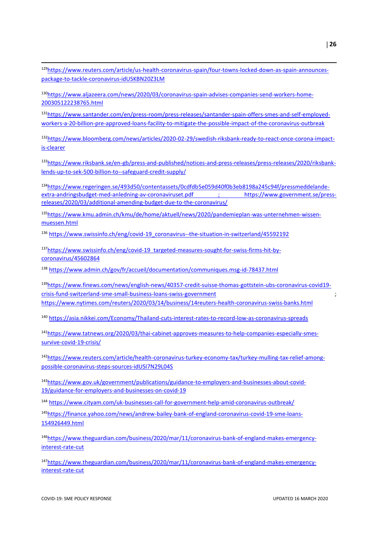| <sup>129</sup> https://www.reuters.com/article/us-health-coronavirus-spain/four-towns-locked-down-as-spain-announces- |
|-----------------------------------------------------------------------------------------------------------------------|
| package-to-tackle-coronavirus-idUSKBN20Z3LM                                                                           |
| <sup>130</sup> https://www.aljazeera.com/news/2020/03/coronavirus-spain-advises-companies-send-workers-home-          |

[200305122238765.html](https://www.aljazeera.com/news/2020/03/coronavirus-spain-advises-companies-send-workers-home-200305122238765.html)

131[https://www.santander.com/en/press-room/press-releases/santander-spain-offers-smes-and-self-employed](https://www.santander.com/en/press-room/press-releases/santander-spain-offers-smes-and-self-employed-workers-a-20-billion-pre-approved-loans-facility-to-mitigate-the-possible-impact-of-the-coronavirus-outbreak)[workers-a-20-billion-pre-approved-loans-facility-to-mitigate-the-possible-impact-of-the-coronavirus-outbreak](https://www.santander.com/en/press-room/press-releases/santander-spain-offers-smes-and-self-employed-workers-a-20-billion-pre-approved-loans-facility-to-mitigate-the-possible-impact-of-the-coronavirus-outbreak)

132[https://www.bloomberg.com/news/articles/2020-02-29/swedish-riksbank-ready-to-react-once-corona-impact](https://www.bloomberg.com/news/articles/2020-02-29/swedish-riksbank-ready-to-react-once-corona-impact-is-clearer)[is-clearer](https://www.bloomberg.com/news/articles/2020-02-29/swedish-riksbank-ready-to-react-once-corona-impact-is-clearer)

133[https://www.riksbank.se/en-gb/press-and-published/notices-and-press-releases/press-releases/2020/riksbank](https://www.riksbank.se/en-gb/press-and-published/notices-and-press-releases/press-releases/2020/riksbank-lends-up-to-sek-500-billion-to--safeguard-credit-supply/)[lends-up-to-sek-500-billion-to--safeguard-credit-supply/](https://www.riksbank.se/en-gb/press-and-published/notices-and-press-releases/press-releases/2020/riksbank-lends-up-to-sek-500-billion-to--safeguard-credit-supply/)

134[https://www.regeringen.se/493d50/contentassets/0cdfdb5e059d40f0b3eb8198a245c94f/pressmeddelande](https://www.regeringen.se/493d50/contentassets/0cdfdb5e059d40f0b3eb8198a245c94f/pressmeddelande-extra-andringsbudget-med-anledning-av-coronaviruset.pdf)[extra-andringsbudget-med-anledning-av-coronaviruset.pdf](https://www.regeringen.se/493d50/contentassets/0cdfdb5e059d40f0b3eb8198a245c94f/pressmeddelande-extra-andringsbudget-med-anledning-av-coronaviruset.pdf) ; [https://www.government.se/press](https://www.government.se/press-releases/2020/03/additional-amending-budget-due-to-the-coronavirus/)[releases/2020/03/additional-amending-budget-due-to-the-coronavirus/](https://www.government.se/press-releases/2020/03/additional-amending-budget-due-to-the-coronavirus/)

135[https://www.kmu.admin.ch/kmu/de/home/aktuell/news/2020/pandemieplan-was-unternehmen-wissen](https://www.kmu.admin.ch/kmu/de/home/aktuell/news/2020/pandemieplan-was-unternehmen-wissen-muessen.html)[muessen.html](https://www.kmu.admin.ch/kmu/de/home/aktuell/news/2020/pandemieplan-was-unternehmen-wissen-muessen.html)

<sup>136</sup> [https://www.swissinfo.ch/eng/covid-19\\_coronavirus--the-situation-in-switzerland/45592192](https://www.swissinfo.ch/eng/covid-19_coronavirus--the-situation-in-switzerland/45592192)

137[https://www.swissinfo.ch/eng/covid-19\\_targeted-measures-sought-for-swiss-firms-hit-by](https://www.swissinfo.ch/eng/covid-19_targeted-measures-sought-for-swiss-firms-hit-by-coronavirus/45602864)[coronavirus/45602864](https://www.swissinfo.ch/eng/covid-19_targeted-measures-sought-for-swiss-firms-hit-by-coronavirus/45602864) 

<sup>138</sup> [https://www.admin.ch/gov/fr/accueil/documentation/communiques.msg-id-78437.html](https://eur02.safelinks.protection.outlook.com/?url=https%3A%2F%2Fwww.admin.ch%2Fgov%2Ffr%2Faccueil%2Fdocumentation%2Fcommuniques.msg-id-78437.html&data=02%7C01%7CLucia.CUSMANO%40oecd.org%7Ce1c0601c08914653ca4c08d7c77c284a%7Cac41c7d41f61460db0f4fc925a2b471c%7C0%7C0%7C637197208377561583&sdata=3VPkZjWjZqNAbW9E6sytNW9BOxxas5Xdw7aZv015aGs%3D&reserved=0)

<sup>139</sup>[https://www.finews.com/news/english-news/40357-credit-suisse-thomas-gottstein-ubs-coronavirus-covid19](https://www.finews.com/news/english-news/40357-credit-suisse-thomas-gottstein-ubs-coronavirus-covid19-crisis-fund-switzerland-sme-small-business-loans-swiss-government) [crisis-fund-switzerland-sme-small-business-loans-swiss-government](https://www.finews.com/news/english-news/40357-credit-suisse-thomas-gottstein-ubs-coronavirus-covid19-crisis-fund-switzerland-sme-small-business-loans-swiss-government) ; [https://www.nytimes.com/reuters/2020/03/14/business/14reuters-health-coronavirus-swiss-banks.html](https://eur02.safelinks.protection.outlook.com/?url=https%3A%2F%2Fwww.nytimes.com%2Freuters%2F2020%2F03%2F14%2Fbusiness%2F14reuters-health-coronavirus-swiss-banks.html&data=02%7C01%7Cstephan.raes%40oecd.org%7C7c61929ce5f24b07e1ce08d7c8dc45d9%7Cac41c7d41f61460db0f4fc925a2b471c%7C0%7C0%7C637198720698619895&sdata=BLuKtkXmZLf8v70hUF0uGwzcNGgX5rFJL2Ex8jIh1I0%3D&reserved=0)

<sup>140</sup> <https://asia.nikkei.com/Economy/Thailand-cuts-interest-rates-to-record-low-as-coronavirus-spreads>

141[https://www.tatnews.org/2020/03/thai-cabinet-approves-measures-to-help-companies-especially-smes](https://www.tatnews.org/2020/03/thai-cabinet-approves-measures-to-help-companies-especially-smes-survive-covid-19-crisis/)[survive-covid-19-crisis/](https://www.tatnews.org/2020/03/thai-cabinet-approves-measures-to-help-companies-especially-smes-survive-covid-19-crisis/)

142[https://www.reuters.com/article/health-coronavirus-turkey-economy-tax/turkey-mulling-tax-relief-among](https://www.reuters.com/article/health-coronavirus-turkey-economy-tax/turkey-mulling-tax-relief-among-possible-coronavirus-steps-sources-idUSI7N29L04S)[possible-coronavirus-steps-sources-idUSI7N29L04S](https://www.reuters.com/article/health-coronavirus-turkey-economy-tax/turkey-mulling-tax-relief-among-possible-coronavirus-steps-sources-idUSI7N29L04S)

143[https://www.gov.uk/government/publications/guidance-to-employers-and-businesses-about-covid-](https://www.gov.uk/government/publications/guidance-to-employers-and-businesses-about-covid-19/guidance-for-employers-and-businesses-on-covid-19)[19/guidance-for-employers-and-businesses-on-covid-19](https://www.gov.uk/government/publications/guidance-to-employers-and-businesses-about-covid-19/guidance-for-employers-and-businesses-on-covid-19)

<sup>144</sup> <https://www.cityam.com/uk-businesses-call-for-government-help-amid-coronavirus-outbreak/>

145[https://finance.yahoo.com/news/andrew-bailey-bank-of-england-coronavirus-covid-19-sme-loans-](https://finance.yahoo.com/news/andrew-bailey-bank-of-england-coronavirus-covid-19-sme-loans-154926449.html)[154926449.html](https://finance.yahoo.com/news/andrew-bailey-bank-of-england-coronavirus-covid-19-sme-loans-154926449.html)

146[https://www.theguardian.com/business/2020/mar/11/coronavirus-bank-of-england-makes-emergency](https://www.theguardian.com/business/2020/mar/11/coronavirus-bank-of-england-makes-emergency-interest-rate-cut)[interest-rate-cut](https://www.theguardian.com/business/2020/mar/11/coronavirus-bank-of-england-makes-emergency-interest-rate-cut)

147[https://www.theguardian.com/business/2020/mar/11/coronavirus-bank-of-england-makes-emergency](https://www.theguardian.com/business/2020/mar/11/coronavirus-bank-of-england-makes-emergency-interest-rate-cut)[interest-rate-cut](https://www.theguardian.com/business/2020/mar/11/coronavirus-bank-of-england-makes-emergency-interest-rate-cut)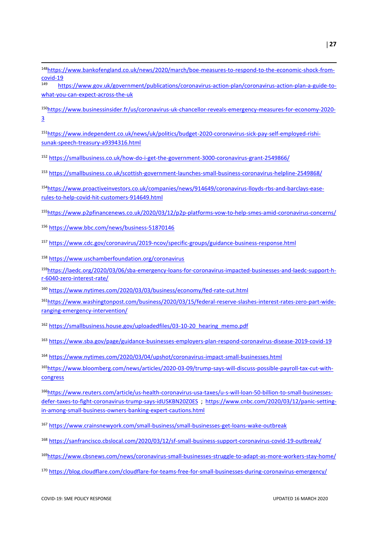- [https://www.bankofengland.co.uk/news/2020/march/boe-measures-to-respond-to-the-economic-shock-from](https://www.bankofengland.co.uk/news/2020/march/boe-measures-to-respond-to-the-economic-shock-from-covid-19) $\frac{covid-19}{149}$  $\frac{covid-19}{149}$  $\frac{covid-19}{149}$
- [https://www.gov.uk/government/publications/coronavirus-action-plan/coronavirus-action-plan-a-guide-to](https://www.gov.uk/government/publications/coronavirus-action-plan/coronavirus-action-plan-a-guide-to-what-you-can-expect-across-the-uk)[what-you-can-expect-across-the-uk](https://www.gov.uk/government/publications/coronavirus-action-plan/coronavirus-action-plan-a-guide-to-what-you-can-expect-across-the-uk)
- [https://www.businessinsider.fr/us/coronavirus-uk-chancellor-reveals-emergency-measures-for-economy-2020-](https://www.businessinsider.fr/us/coronavirus-uk-chancellor-reveals-emergency-measures-for-economy-2020-3)
- [https://www.independent.co.uk/news/uk/politics/budget-2020-coronavirus-sick-pay-self-employed-rishi](https://www.independent.co.uk/news/uk/politics/budget-2020-coronavirus-sick-pay-self-employed-rishi-sunak-speech-treasury-a9394316.html)[sunak-speech-treasury-a9394316.html](https://www.independent.co.uk/news/uk/politics/budget-2020-coronavirus-sick-pay-self-employed-rishi-sunak-speech-treasury-a9394316.html)
- <https://smallbusiness.co.uk/how-do-i-get-the-government-3000-coronavirus-grant-2549866/>
- [https://smallbusiness.co.uk/scottish-government-launches-small-business-coronavirus-helpline-2549868/](https://eur02.safelinks.protection.outlook.com/?url=https%3A%2F%2Fsmallbusiness.co.uk%2Fscottish-government-launches-small-business-coronavirus-helpline-2549868%2F&data=02%7C01%7Cstephan.raes%40oecd.org%7C885b7b10885749934b1908d7c8212e5b%7Cac41c7d41f61460db0f4fc925a2b471c%7C0%7C0%7C637197917147340064&sdata=U%2FwtgXIGedmma03uE%2BxDZQNKQM7CLziO77yu51ZvT%2Bk%3D&reserved=0)
- [https://www.proactiveinvestors.co.uk/companies/news/914649/coronavirus-lloyds-rbs-and-barclays-ease](https://www.proactiveinvestors.co.uk/companies/news/914649/coronavirus-lloyds-rbs-and-barclays-ease-rules-to-help-covid-hit-customers-914649.html)[rules-to-help-covid-hit-customers-914649.html](https://www.proactiveinvestors.co.uk/companies/news/914649/coronavirus-lloyds-rbs-and-barclays-ease-rules-to-help-covid-hit-customers-914649.html)
- [https://www.p2pfinancenews.co.uk/2020/03/12/p2p-platforms-vow-to-help-smes-amid-coronavirus-concerns/](https://eur02.safelinks.protection.outlook.com/?url=https%3A%2F%2Fwww.p2pfinancenews.co.uk%2F2020%2F03%2F12%2Fp2p-platforms-vow-to-help-smes-amid-coronavirus-concerns%2F&data=02%7C01%7Cstephan.raes%40oecd.org%7Cd9d406583a8a404048d208d7c746b307%7Cac41c7d41f61460db0f4fc925a2b471c%7C0%7C0%7C637196978773555927&sdata=xNfLq0etRYHz93gXWZLUiEGF45rOXmu7f5tBL8TibQA%3D&reserved=0)
- <https://www.bbc.com/news/business-51870146>

**.** 

- <https://www.cdc.gov/coronavirus/2019-ncov/specific-groups/guidance-business-response.html>
- <https://www.uschamberfoundation.org/coronavirus>
- [https://laedc.org/2020/03/06/sba-emergency-loans-for-coronavirus-impacted-businesses-and-laedc-support-h](https://laedc.org/2020/03/06/sba-emergency-loans-for-coronavirus-impacted-businesses-and-laedc-support-h-r-6040-zero-interest-rate/)[r-6040-zero-interest-rate/](https://laedc.org/2020/03/06/sba-emergency-loans-for-coronavirus-impacted-businesses-and-laedc-support-h-r-6040-zero-interest-rate/)
- <https://www.nytimes.com/2020/03/03/business/economy/fed-rate-cut.html>
- [https://www.washingtonpost.com/business/2020/03/15/federal-reserve-slashes-interest-rates-zero-part-wide](https://www.washingtonpost.com/business/2020/03/15/federal-reserve-slashes-interest-rates-zero-part-wide-ranging-emergency-intervention/)[ranging-emergency-intervention/](https://www.washingtonpost.com/business/2020/03/15/federal-reserve-slashes-interest-rates-zero-part-wide-ranging-emergency-intervention/)
- [https://smallbusiness.house.gov/uploadedfiles/03-10-20\\_hearing\\_memo.pdf](https://smallbusiness.house.gov/uploadedfiles/03-10-20_hearing_memo.pdf)
- <https://www.sba.gov/page/guidance-businesses-employers-plan-respond-coronavirus-disease-2019-covid-19>
- <https://www.nytimes.com/2020/03/04/upshot/coronavirus-impact-small-businesses.html>
- [https://www.bloomberg.com/news/articles/2020-03-09/trump-says-will-discuss-possible-payroll-tax-cut-with](https://www.bloomberg.com/news/articles/2020-03-09/trump-says-will-discuss-possible-payroll-tax-cut-with-congress)[congress](https://www.bloomberg.com/news/articles/2020-03-09/trump-says-will-discuss-possible-payroll-tax-cut-with-congress)
- [https://www.reuters.com/article/us-health-coronavirus-usa-taxes/u-s-will-loan-50-billion-to-small-businesses](https://www.reuters.com/article/us-health-coronavirus-usa-taxes/u-s-will-loan-50-billion-to-small-businesses-defer-taxes-to-fight-coronavirus-trump-says-idUSKBN20Z0ES)[defer-taxes-to-fight-coronavirus-trump-says-idUSKBN20Z0ES](https://www.reuters.com/article/us-health-coronavirus-usa-taxes/u-s-will-loan-50-billion-to-small-businesses-defer-taxes-to-fight-coronavirus-trump-says-idUSKBN20Z0ES) ; [https://www.cnbc.com/2020/03/12/panic-setting](https://www.cnbc.com/2020/03/12/panic-setting-in-among-small-business-owners-banking-expert-cautions.html)[in-among-small-business-owners-banking-expert-cautions.html](https://www.cnbc.com/2020/03/12/panic-setting-in-among-small-business-owners-banking-expert-cautions.html)
- <https://www.crainsnewyork.com/small-business/small-businesses-get-loans-wake-outbreak>
- <https://sanfrancisco.cbslocal.com/2020/03/12/sf-small-business-support-coronavirus-covid-19-outbreak/>
- <https://www.cbsnews.com/news/coronavirus-small-businesses-struggle-to-adapt-as-more-workers-stay-home/>
- <https://blog.cloudflare.com/cloudflare-for-teams-free-for-small-businesses-during-coronavirus-emergency/>